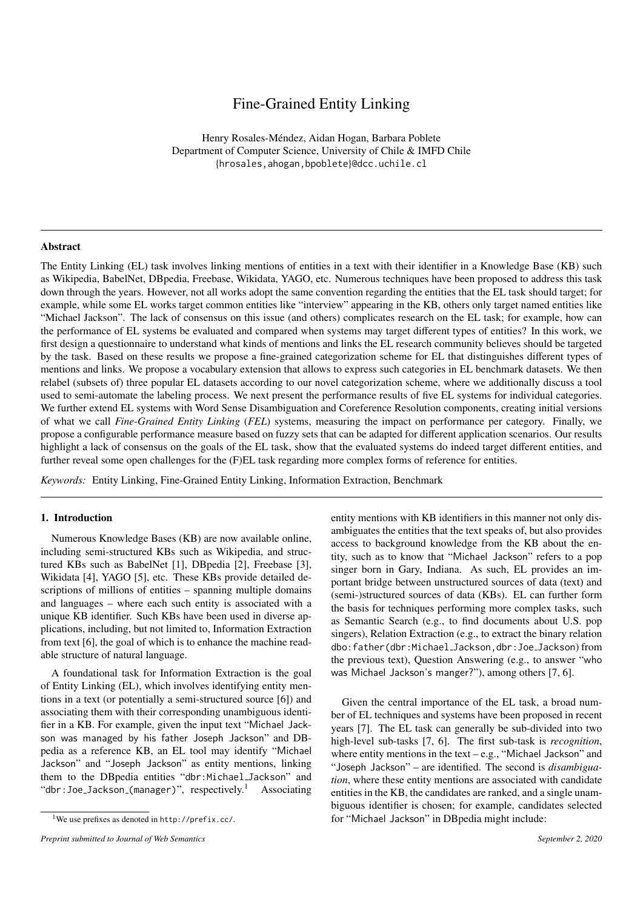# Fine-Grained Entity Linking

Henry Rosales-Méndez, Aidan Hogan, Barbara Poblete Department of Computer Science, University of Chile & IMFD Chile {hrosales,ahogan,bpoblete}@dcc.uchile.cl

### Abstract

The Entity Linking (EL) task involves linking mentions of entities in a text with their identifier in a Knowledge Base (KB) such as Wikipedia, BabelNet, DBpedia, Freebase, Wikidata, YAGO, etc. Numerous techniques have been proposed to address this task down through the years. However, not all works adopt the same convention regarding the entities that the EL task should target; for example, while some EL works target common entities like "interview" appearing in the KB, others only target named entities like "Michael Jackson". The lack of consensus on this issue (and others) complicates research on the EL task; for example, how can the performance of EL systems be evaluated and compared when systems may target different types of entities? In this work, we first design a questionnaire to understand what kinds of mentions and links the EL research community believes should be targeted by the task. Based on these results we propose a fine-grained categorization scheme for EL that distinguishes different types of mentions and links. We propose a vocabulary extension that allows to express such categories in EL benchmark datasets. We then relabel (subsets of) three popular EL datasets according to our novel categorization scheme, where we additionally discuss a tool used to semi-automate the labeling process. We next present the performance results of five EL systems for individual categories. We further extend EL systems with Word Sense Disambiguation and Coreference Resolution components, creating initial versions of what we call *Fine-Grained Entity Linking* (*FEL*) systems, measuring the impact on performance per category. Finally, we propose a configurable performance measure based on fuzzy sets that can be adapted for different application scenarios. Our results highlight a lack of consensus on the goals of the EL task, show that the evaluated systems do indeed target different entities, and further reveal some open challenges for the (F)EL task regarding more complex forms of reference for entities.

*Keywords:* Entity Linking, Fine-Grained Entity Linking, Information Extraction, Benchmark

# 1. Introduction

Numerous Knowledge Bases (KB) are now available online, including semi-structured KBs such as Wikipedia, and structured KBs such as BabelNet [1], DBpedia [2], Freebase [3], Wikidata [4], YAGO [5], etc. These KBs provide detailed descriptions of millions of entities – spanning multiple domains and languages – where each such entity is associated with a unique KB identifier. Such KBs have been used in diverse applications, including, but not limited to, Information Extraction from text [6], the goal of which is to enhance the machine readable structure of natural language.

A foundational task for Information Extraction is the goal of Entity Linking (EL), which involves identifying entity mentions in a text (or potentially a semi-structured source [6]) and associating them with their corresponding unambiguous identifier in a KB. For example, given the input text "Michael Jackson was managed by his father Joseph Jackson" and DBpedia as a reference KB, an EL tool may identify "Michael Jackson" and "Joseph Jackson" as entity mentions, linking them to the DBpedia entities "dbr:Michael Jackson" and "dbr:Joe\_Jackson\_(manager)", respectively.<sup>1</sup> Associating

entity mentions with KB identifiers in this manner not only disambiguates the entities that the text speaks of, but also provides access to background knowledge from the KB about the entity, such as to know that "Michael Jackson" refers to a pop singer born in Gary, Indiana. As such, EL provides an important bridge between unstructured sources of data (text) and (semi-)structured sources of data (KBs). EL can further form the basis for techniques performing more complex tasks, such as Semantic Search (e.g., to find documents about U.S. pop singers), Relation Extraction (e.g., to extract the binary relation dbo:father(dbr:Michael Jackson,dbr:Joe Jackson) from the previous text), Question Answering (e.g., to answer "who was Michael Jackson's manger?"), among others [7, 6].

Given the central importance of the EL task, a broad number of EL techniques and systems have been proposed in recent years [7]. The EL task can generally be sub-divided into two high-level sub-tasks [7, 6]. The first sub-task is *recognition*, where entity mentions in the text – e.g., "Michael Jackson" and "Joseph Jackson" – are identified. The second is *disambiguation*, where these entity mentions are associated with candidate entities in the KB, the candidates are ranked, and a single unambiguous identifier is chosen; for example, candidates selected for "Michael Jackson" in DBpedia might include:

<sup>1</sup>We use prefixes as denoted in http://prefix.cc/.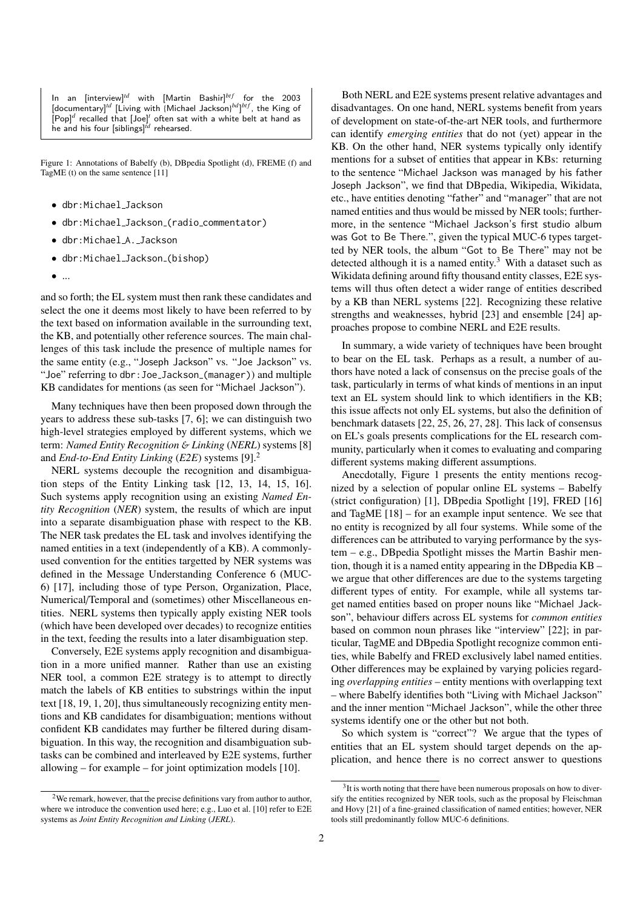In an linterview<sup>[td</sup> with [Martin Bashir]<sup>btf</sup> for the 2003 [documentary]*td* [Living with {Michael Jackson} *bd*] *bt f* , the King of [Pop]*<sup>d</sup>* recalled that [Joe]*<sup>t</sup>* often sat with a white belt at hand as he and his four [siblings]*td* rehearsed.

Figure 1: Annotations of Babelfy (b), DBpedia Spotlight (d), FREME (f) and TagME (t) on the same sentence [11]

- dbr:Michael Jackson
- dbr:Michael Jackson (radio commentator)
- dbr:Michael A. Jackson
- dbr:Michael Jackson (bishop)
- $\bullet$  ...

and so forth; the EL system must then rank these candidates and select the one it deems most likely to have been referred to by the text based on information available in the surrounding text, the KB, and potentially other reference sources. The main challenges of this task include the presence of multiple names for the same entity (e.g., "Joseph Jackson" vs. "Joe Jackson" vs. "Joe" referring to dbr:Joe Jackson (manager)) and multiple KB candidates for mentions (as seen for "Michael Jackson").

Many techniques have then been proposed down through the years to address these sub-tasks [7, 6]; we can distinguish two high-level strategies employed by different systems, which we term: *Named Entity Recognition* & *Linking* (*NERL*) systems [8] and *End-to-End Entity Linking* (*E2E*) systems [9].<sup>2</sup>

NERL systems decouple the recognition and disambiguation steps of the Entity Linking task [12, 13, 14, 15, 16]. Such systems apply recognition using an existing *Named Entity Recognition* (*NER*) system, the results of which are input into a separate disambiguation phase with respect to the KB. The NER task predates the EL task and involves identifying the named entities in a text (independently of a KB). A commonlyused convention for the entities targetted by NER systems was defined in the Message Understanding Conference 6 (MUC-6) [17], including those of type Person, Organization, Place, Numerical/Temporal and (sometimes) other Miscellaneous entities. NERL systems then typically apply existing NER tools (which have been developed over decades) to recognize entities in the text, feeding the results into a later disambiguation step.

Conversely, E2E systems apply recognition and disambiguation in a more unified manner. Rather than use an existing NER tool, a common E2E strategy is to attempt to directly match the labels of KB entities to substrings within the input text [18, 19, 1, 20], thus simultaneously recognizing entity mentions and KB candidates for disambiguation; mentions without confident KB candidates may further be filtered during disambiguation. In this way, the recognition and disambiguation subtasks can be combined and interleaved by E2E systems, further allowing – for example – for joint optimization models [10].

Both NERL and E2E systems present relative advantages and disadvantages. On one hand, NERL systems benefit from years of development on state-of-the-art NER tools, and furthermore can identify *emerging entities* that do not (yet) appear in the KB. On the other hand, NER systems typically only identify mentions for a subset of entities that appear in KBs: returning to the sentence "Michael Jackson was managed by his father Joseph Jackson", we find that DBpedia, Wikipedia, Wikidata, etc., have entities denoting "father" and "manager" that are not named entities and thus would be missed by NER tools; furthermore, in the sentence "Michael Jackson's first studio album was Got to Be There.", given the typical MUC-6 types targetted by NER tools, the album "Got to Be There" may not be detected although it is a named entity.<sup>3</sup> With a dataset such as Wikidata defining around fifty thousand entity classes, E2E systems will thus often detect a wider range of entities described by a KB than NERL systems [22]. Recognizing these relative strengths and weaknesses, hybrid [23] and ensemble [24] approaches propose to combine NERL and E2E results.

In summary, a wide variety of techniques have been brought to bear on the EL task. Perhaps as a result, a number of authors have noted a lack of consensus on the precise goals of the task, particularly in terms of what kinds of mentions in an input text an EL system should link to which identifiers in the KB; this issue affects not only EL systems, but also the definition of benchmark datasets [22, 25, 26, 27, 28]. This lack of consensus on EL's goals presents complications for the EL research community, particularly when it comes to evaluating and comparing different systems making different assumptions.

Anecdotally, Figure 1 presents the entity mentions recognized by a selection of popular online EL systems – Babelfy (strict configuration) [1], DBpedia Spotlight [19], FRED [16] and TagME [18] – for an example input sentence. We see that no entity is recognized by all four systems. While some of the differences can be attributed to varying performance by the system – e.g., DBpedia Spotlight misses the Martin Bashir mention, though it is a named entity appearing in the DBpedia KB – we argue that other differences are due to the systems targeting different types of entity. For example, while all systems target named entities based on proper nouns like "Michael Jackson", behaviour differs across EL systems for *common entities* based on common noun phrases like "interview" [22]; in particular, TagME and DBpedia Spotlight recognize common entities, while Babelfy and FRED exclusively label named entities. Other differences may be explained by varying policies regarding *overlapping entities* – entity mentions with overlapping text – where Babelfy identifies both "Living with Michael Jackson" and the inner mention "Michael Jackson", while the other three systems identify one or the other but not both.

So which system is "correct"? We argue that the types of entities that an EL system should target depends on the application, and hence there is no correct answer to questions

<sup>&</sup>lt;sup>2</sup>We remark, however, that the precise definitions vary from author to author, where we introduce the convention used here; e.g., Luo et al. [10] refer to E2E systems as *Joint Entity Recognition and Linking* (*JERL*).

<sup>&</sup>lt;sup>3</sup>It is worth noting that there have been numerous proposals on how to diversify the entities recognized by NER tools, such as the proposal by Fleischman and Hovy [21] of a fine-grained classification of named entities; however, NER tools still predominantly follow MUC-6 definitions.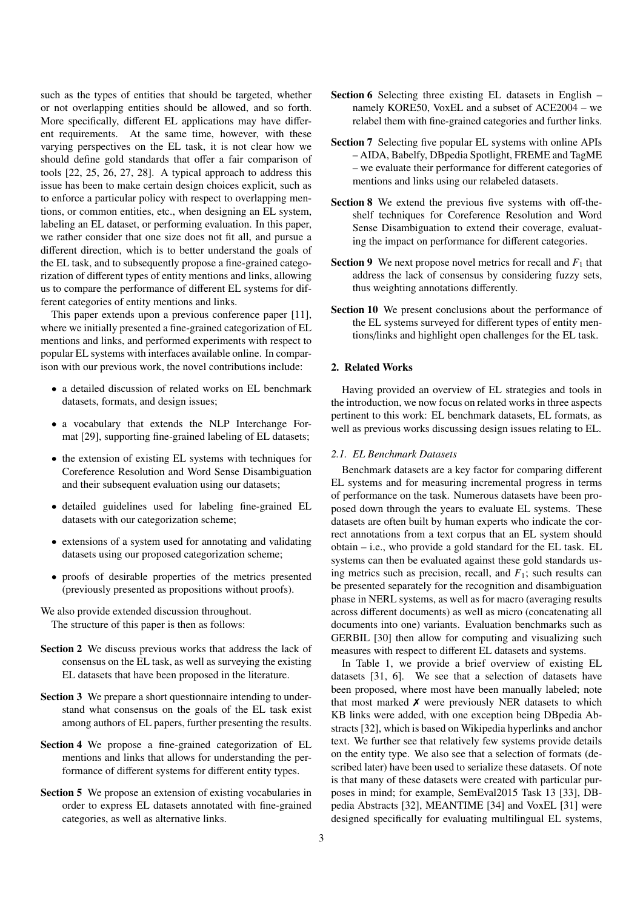such as the types of entities that should be targeted, whether or not overlapping entities should be allowed, and so forth. More specifically, different EL applications may have different requirements. At the same time, however, with these varying perspectives on the EL task, it is not clear how we should define gold standards that offer a fair comparison of tools [22, 25, 26, 27, 28]. A typical approach to address this issue has been to make certain design choices explicit, such as to enforce a particular policy with respect to overlapping mentions, or common entities, etc., when designing an EL system, labeling an EL dataset, or performing evaluation. In this paper, we rather consider that one size does not fit all, and pursue a different direction, which is to better understand the goals of the EL task, and to subsequently propose a fine-grained categorization of different types of entity mentions and links, allowing us to compare the performance of different EL systems for different categories of entity mentions and links.

This paper extends upon a previous conference paper [11], where we initially presented a fine-grained categorization of EL mentions and links, and performed experiments with respect to popular EL systems with interfaces available online. In comparison with our previous work, the novel contributions include:

- a detailed discussion of related works on EL benchmark datasets, formats, and design issues;
- a vocabulary that extends the NLP Interchange Format [29], supporting fine-grained labeling of EL datasets;
- the extension of existing EL systems with techniques for Coreference Resolution and Word Sense Disambiguation and their subsequent evaluation using our datasets;
- detailed guidelines used for labeling fine-grained EL datasets with our categorization scheme;
- extensions of a system used for annotating and validating datasets using our proposed categorization scheme;
- proofs of desirable properties of the metrics presented (previously presented as propositions without proofs).

We also provide extended discussion throughout. The structure of this paper is then as follows:

- Section 2 We discuss previous works that address the lack of consensus on the EL task, as well as surveying the existing EL datasets that have been proposed in the literature.
- Section 3 We prepare a short questionnaire intending to understand what consensus on the goals of the EL task exist among authors of EL papers, further presenting the results.
- Section 4 We propose a fine-grained categorization of EL mentions and links that allows for understanding the performance of different systems for different entity types.
- Section 5 We propose an extension of existing vocabularies in order to express EL datasets annotated with fine-grained categories, as well as alternative links.
- Section 6 Selecting three existing EL datasets in English namely KORE50, VoxEL and a subset of ACE2004 – we relabel them with fine-grained categories and further links.
- Section 7 Selecting five popular EL systems with online APIs – AIDA, Babelfy, DBpedia Spotlight, FREME and TagME – we evaluate their performance for different categories of mentions and links using our relabeled datasets.
- Section 8 We extend the previous five systems with off-theshelf techniques for Coreference Resolution and Word Sense Disambiguation to extend their coverage, evaluating the impact on performance for different categories.
- **Section 9** We next propose novel metrics for recall and  $F_1$  that address the lack of consensus by considering fuzzy sets, thus weighting annotations differently.
- Section 10 We present conclusions about the performance of the EL systems surveyed for different types of entity mentions/links and highlight open challenges for the EL task.

### 2. Related Works

Having provided an overview of EL strategies and tools in the introduction, we now focus on related works in three aspects pertinent to this work: EL benchmark datasets, EL formats, as well as previous works discussing design issues relating to EL.

## *2.1. EL Benchmark Datasets*

Benchmark datasets are a key factor for comparing different EL systems and for measuring incremental progress in terms of performance on the task. Numerous datasets have been proposed down through the years to evaluate EL systems. These datasets are often built by human experts who indicate the correct annotations from a text corpus that an EL system should obtain – i.e., who provide a gold standard for the EL task. EL systems can then be evaluated against these gold standards using metrics such as precision, recall, and  $F_1$ ; such results can be presented separately for the recognition and disambiguation phase in NERL systems, as well as for macro (averaging results across different documents) as well as micro (concatenating all documents into one) variants. Evaluation benchmarks such as GERBIL [30] then allow for computing and visualizing such measures with respect to different EL datasets and systems.

In Table 1, we provide a brief overview of existing EL datasets [31, 6]. We see that a selection of datasets have been proposed, where most have been manually labeled; note that most marked  $X$  were previously NER datasets to which KB links were added, with one exception being DBpedia Abstracts [32], which is based on Wikipedia hyperlinks and anchor text. We further see that relatively few systems provide details on the entity type. We also see that a selection of formats (described later) have been used to serialize these datasets. Of note is that many of these datasets were created with particular purposes in mind; for example, SemEval2015 Task 13 [33], DBpedia Abstracts [32], MEANTIME [34] and VoxEL [31] were designed specifically for evaluating multilingual EL systems,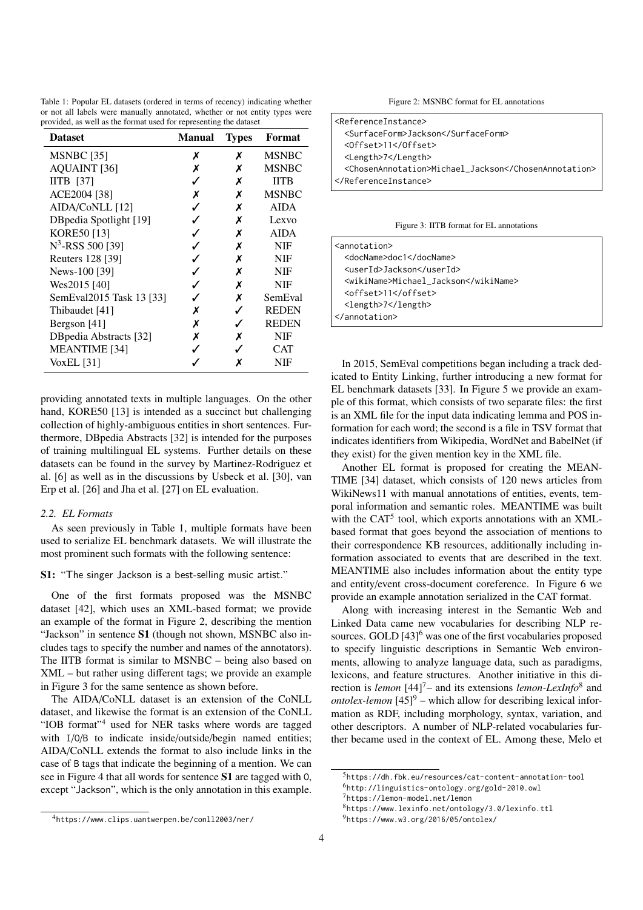Table 1: Popular EL datasets (ordered in terms of recency) indicating whether or not all labels were manually annotated, whether or not entity types were provided, as well as the format used for representing the dataset

| <b>Dataset</b>                | Manual | <b>Types</b> | Format       |
|-------------------------------|--------|--------------|--------------|
| MSNBC [35]                    | Х      | х            | <b>MSNBC</b> |
| <b>AOUAINT</b> [36]           | х      | х            | <b>MSNBC</b> |
| $IITB$ [37]                   |        | х            | <b>IITB</b>  |
| ACE2004 [38]                  | х      | х            | <b>MSNBC</b> |
| AIDA/CoNLL [12]               |        | х            | <b>AIDA</b>  |
| DBpedia Spotlight [19]        |        | х            | Lexvo        |
| KORE50 [13]                   |        | х            | <b>AIDA</b>  |
| $N^3$ -RSS 500 [39]           |        | х            | <b>NIF</b>   |
| <b>Reuters</b> 128 [39]       |        | х            | <b>NIF</b>   |
| News-100 [39]                 |        | х            | <b>NIF</b>   |
| Wes2015 [40]                  |        | х            | <b>NIF</b>   |
| SemEval2015 Task 13 [33]      |        | х            | SemEval      |
| Thibaudet [41]                | Х      |              | <b>REDEN</b> |
| Bergson [41]                  | Х      |              | <b>REDEN</b> |
| <b>DBpedia Abstracts</b> [32] | Х      | х            | <b>NIF</b>   |
| <b>MEANTIME</b> [34]          |        |              | CAT          |
| VoxEL $[31]$                  |        |              | NIF          |

providing annotated texts in multiple languages. On the other hand, KORE50 [13] is intended as a succinct but challenging collection of highly-ambiguous entities in short sentences. Furthermore, DBpedia Abstracts [32] is intended for the purposes of training multilingual EL systems. Further details on these datasets can be found in the survey by Martinez-Rodriguez et al. [6] as well as in the discussions by Usbeck et al. [30], van Erp et al. [26] and Jha et al. [27] on EL evaluation.

#### *2.2. EL Formats*

As seen previously in Table 1, multiple formats have been used to serialize EL benchmark datasets. We will illustrate the most prominent such formats with the following sentence:

#### S1: "The singer Jackson is a best-selling music artist."

One of the first formats proposed was the MSNBC dataset [42], which uses an XML-based format; we provide an example of the format in Figure 2, describing the mention "Jackson" in sentence S1 (though not shown, MSNBC also includes tags to specify the number and names of the annotators). The IITB format is similar to MSNBC – being also based on XML – but rather using different tags; we provide an example in Figure 3 for the same sentence as shown before.

The AIDA/CoNLL dataset is an extension of the CoNLL dataset, and likewise the format is an extension of the CoNLL "IOB format"<sup>4</sup> used for NER tasks where words are tagged with I/O/B to indicate inside/outside/begin named entities; AIDA/CoNLL extends the format to also include links in the case of B tags that indicate the beginning of a mention. We can see in Figure 4 that all words for sentence S1 are tagged with O, except "Jackson", which is the only annotation in this example.

Figure 2: MSNBC format for EL annotations

| <referenceinstance></referenceinstance>              |
|------------------------------------------------------|
| <surfaceform>Jackson</surfaceform>                   |
| <0ffset>11 0ffset                                    |
| <length>7</length>                                   |
| <chosenannotation>Michael_Jackson</chosenannotation> |
|                                                      |
|                                                      |

| <annotation></annotation>            |  |
|--------------------------------------|--|
| <docname>doc1</docname>              |  |
| <userid>Jackson</userid>             |  |
| <wikiname>Michael Jackson</wikiname> |  |
| <offset>11</offset>                  |  |
| <length>7</length>                   |  |
| $<$ /annotation>                     |  |
|                                      |  |

In 2015, SemEval competitions began including a track dedicated to Entity Linking, further introducing a new format for EL benchmark datasets [33]. In Figure 5 we provide an example of this format, which consists of two separate files: the first is an XML file for the input data indicating lemma and POS information for each word; the second is a file in TSV format that indicates identifiers from Wikipedia, WordNet and BabelNet (if they exist) for the given mention key in the XML file.

Another EL format is proposed for creating the MEAN-TIME [34] dataset, which consists of 120 news articles from WikiNews11 with manual annotations of entities, events, temporal information and semantic roles. MEANTIME was built with the CAT<sup>5</sup> tool, which exports annotations with an XMLbased format that goes beyond the association of mentions to their correspondence KB resources, additionally including information associated to events that are described in the text. MEANTIME also includes information about the entity type and entity/event cross-document coreference. In Figure 6 we provide an example annotation serialized in the CAT format.

Along with increasing interest in the Semantic Web and Linked Data came new vocabularies for describing NLP resources. GOLD  $[43]^{6}$  was one of the first vocabularies proposed to specify linguistic descriptions in Semantic Web environments, allowing to analyze language data, such as paradigms, lexicons, and feature structures. Another initiative in this direction is *lemon* [44]<sup>7</sup>– and its extensions *lemon-LexInfo*<sup>8</sup> and *ontolex-lemon*  $[45]$ <sup>9</sup> – which allow for describing lexical information as RDF, including morphology, syntax, variation, and other descriptors. A number of NLP-related vocabularies further became used in the context of EL. Among these, Melo et

<sup>5</sup>https://dh.fbk.eu/resources/cat-content-annotation-tool <sup>6</sup>http://linguistics-ontology.org/gold-2010.owl

<sup>7</sup>https://lemon-model.net/lemon

<sup>8</sup>https://www.lexinfo.net/ontology/3.0/lexinfo.ttl

<sup>9</sup>https://www.w3.org/2016/05/ontolex/

<sup>4</sup>https://www.clips.uantwerpen.be/conll2003/ner/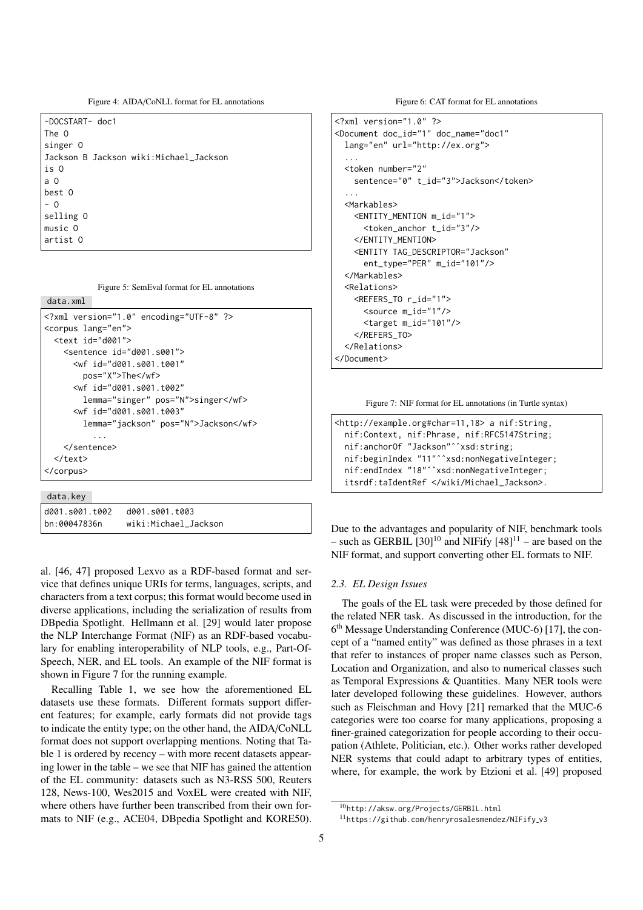Figure 4: AIDA/CoNLL format for EL annotations

| $-DOCSTART - doc1$                     |
|----------------------------------------|
| The O                                  |
| singer 0                               |
| Jackson B Jackson wiki:Michael_Jackson |
| is 0                                   |
| a O                                    |
| best 0                                 |
| - 0                                    |
| selling 0                              |
| music 0                                |
| artist O                               |

Figure 5: SemEval format for EL annotations

```
<?xml version="1.0" encoding="UTF-8" ?>
<corpus lang="en">
 <text id="d001">
    <sentence id="d001.s001">
      <wf id="d001.s001.t001"
       pos="X">The</wf>
      <wf id="d001.s001.t002"
        lemma="singer" pos="N">singer</wf>
      <wf id="d001.s001.t003"
        lemma="jackson" pos="N">Jackson</wf>
          ...
   </sentence>
 \langle/text>
</corpus>
```
data.key

data.xml

| d001.s001.t002 | d001.s001.t003       |
|----------------|----------------------|
| bn:00047836n   | wiki:Michael Jackson |

al. [46, 47] proposed Lexvo as a RDF-based format and service that defines unique URIs for terms, languages, scripts, and characters from a text corpus; this format would become used in diverse applications, including the serialization of results from DBpedia Spotlight. Hellmann et al. [29] would later propose the NLP Interchange Format (NIF) as an RDF-based vocabulary for enabling interoperability of NLP tools, e.g., Part-Of-Speech, NER, and EL tools. An example of the NIF format is shown in Figure 7 for the running example.

Recalling Table 1, we see how the aforementioned EL datasets use these formats. Different formats support different features; for example, early formats did not provide tags to indicate the entity type; on the other hand, the AIDA/CoNLL format does not support overlapping mentions. Noting that Table 1 is ordered by recency – with more recent datasets appearing lower in the table – we see that NIF has gained the attention of the EL community: datasets such as N3-RSS 500, Reuters 128, News-100, Wes2015 and VoxEL were created with NIF, where others have further been transcribed from their own formats to NIF (e.g., ACE04, DBpedia Spotlight and KORE50).

Figure 6: CAT format for EL annotations

```
<?xml version="1.0" ?>
<Document doc_id="1" doc_name="doc1"
  lang="en" url="http://ex.org">
  ...
  <token number="2"
    sentence="0" t_id="3">Jackson</token>
  ...
  <Markables>
    <ENTITY_MENTION m_id="1">
      <token_anchor t_id="3"/>
    </ENTITY_MENTION>
    <ENTITY TAG_DESCRIPTOR="Jackson"
      ent_type="PER" m_id="101"/>
  </Markables>
  <Relations>
    <REFERS_TO r_id="1">
      <source m_id="1"/>
      <target m_id="101"/>
    </REFERS_TO>
  </Relations>
</Document>
```
Figure 7: NIF format for EL annotations (in Turtle syntax)

```
<http://example.org#char=11,18> a nif:String,
 nif:Context, nif:Phrase, nif:RFC5147String;
 nif:anchorOf "Jackson"ˆˆxsd:string;
 nif:beginIndex "11"^^xsd:nonNegativeInteger;
 nif:endIndex "18"ˆˆxsd:nonNegativeInteger;
  itsrdf:taIdentRef </wiki/Michael_Jackson>.
```
Due to the advantages and popularity of NIF, benchmark tools – such as GERBIL  $[30]^{10}$  and NIFify  $[48]^{11}$  – are based on the NIF format, and support converting other EL formats to NIF.

#### *2.3. EL Design Issues*

The goals of the EL task were preceded by those defined for the related NER task. As discussed in the introduction, for the 6 th Message Understanding Conference (MUC-6) [17], the concept of a "named entity" was defined as those phrases in a text that refer to instances of proper name classes such as Person, Location and Organization, and also to numerical classes such as Temporal Expressions & Quantities. Many NER tools were later developed following these guidelines. However, authors such as Fleischman and Hovy [21] remarked that the MUC-6 categories were too coarse for many applications, proposing a finer-grained categorization for people according to their occupation (Athlete, Politician, etc.). Other works rather developed NER systems that could adapt to arbitrary types of entities, where, for example, the work by Etzioni et al. [49] proposed

<sup>10</sup>http://aksw.org/Projects/GERBIL.html

 $11$ https://github.com/henryrosalesmendez/NIFify\_v3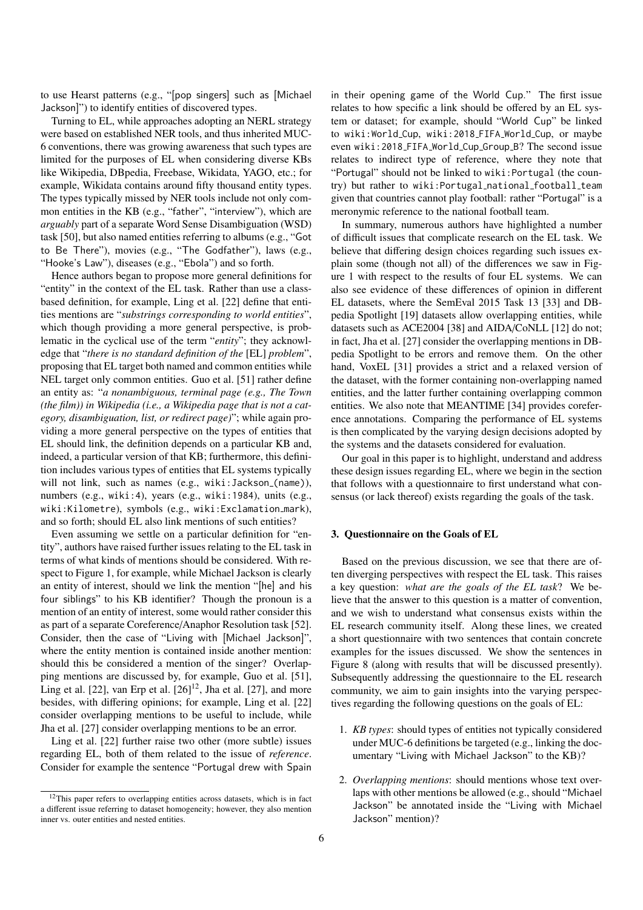to use Hearst patterns (e.g., "[pop singers] such as [Michael Jackson]") to identify entities of discovered types.

Turning to EL, while approaches adopting an NERL strategy were based on established NER tools, and thus inherited MUC-6 conventions, there was growing awareness that such types are limited for the purposes of EL when considering diverse KBs like Wikipedia, DBpedia, Freebase, Wikidata, YAGO, etc.; for example, Wikidata contains around fifty thousand entity types. The types typically missed by NER tools include not only common entities in the KB (e.g., "father", "interview"), which are *arguably* part of a separate Word Sense Disambiguation (WSD) task [50], but also named entities referring to albums (e.g., "Got to Be There"), movies (e.g., "The Godfather"), laws (e.g., "Hooke's Law"), diseases (e.g., "Ebola") and so forth.

Hence authors began to propose more general definitions for "entity" in the context of the EL task. Rather than use a classbased definition, for example, Ling et al. [22] define that entities mentions are "*substrings corresponding to world entities*", which though providing a more general perspective, is problematic in the cyclical use of the term "*entity*"; they acknowledge that "*there is no standard definition of the* [EL] *problem*", proposing that EL target both named and common entities while NEL target only common entities. Guo et al. [51] rather define an entity as: "*a nonambiguous, terminal page (e.g., The Town (the film)) in Wikipedia (i.e., a Wikipedia page that is not a category, disambiguation, list, or redirect page)*"; while again providing a more general perspective on the types of entities that EL should link, the definition depends on a particular KB and, indeed, a particular version of that KB; furthermore, this definition includes various types of entities that EL systems typically will not link, such as names (e.g., wiki: Jackson (name)), numbers (e.g., wiki:4), years (e.g., wiki:1984), units (e.g., wiki:Kilometre), symbols (e.g., wiki:Exclamation\_mark), and so forth; should EL also link mentions of such entities?

Even assuming we settle on a particular definition for "entity", authors have raised further issues relating to the EL task in terms of what kinds of mentions should be considered. With respect to Figure 1, for example, while Michael Jackson is clearly an entity of interest, should we link the mention "[he] and his four siblings" to his KB identifier? Though the pronoun is a mention of an entity of interest, some would rather consider this as part of a separate Coreference/Anaphor Resolution task [52]. Consider, then the case of "Living with [Michael Jackson]", where the entity mention is contained inside another mention: should this be considered a mention of the singer? Overlapping mentions are discussed by, for example, Guo et al. [51], Ling et al. [22], van Erp et al.  $[26]^{12}$ , Jha et al. [27], and more besides, with differing opinions; for example, Ling et al. [22] consider overlapping mentions to be useful to include, while Jha et al. [27] consider overlapping mentions to be an error.

Ling et al. [22] further raise two other (more subtle) issues regarding EL, both of them related to the issue of *reference*. Consider for example the sentence "Portugal drew with Spain

in their opening game of the World Cup." The first issue relates to how specific a link should be offered by an EL system or dataset; for example, should "World Cup" be linked to wiki:World Cup, wiki:2018 FIFA World Cup, or maybe even wiki:2018 FIFA World Cup Group B? The second issue relates to indirect type of reference, where they note that "Portugal" should not be linked to wiki:Portugal (the country) but rather to wiki: Portugal\_national\_football\_team given that countries cannot play football: rather "Portugal" is a meronymic reference to the national football team.

In summary, numerous authors have highlighted a number of difficult issues that complicate research on the EL task. We believe that differing design choices regarding such issues explain some (though not all) of the differences we saw in Figure 1 with respect to the results of four EL systems. We can also see evidence of these differences of opinion in different EL datasets, where the SemEval 2015 Task 13 [33] and DBpedia Spotlight [19] datasets allow overlapping entities, while datasets such as ACE2004 [38] and AIDA/CoNLL [12] do not; in fact, Jha et al. [27] consider the overlapping mentions in DBpedia Spotlight to be errors and remove them. On the other hand, VoxEL [31] provides a strict and a relaxed version of the dataset, with the former containing non-overlapping named entities, and the latter further containing overlapping common entities. We also note that MEANTIME [34] provides coreference annotations. Comparing the performance of EL systems is then complicated by the varying design decisions adopted by the systems and the datasets considered for evaluation.

Our goal in this paper is to highlight, understand and address these design issues regarding EL, where we begin in the section that follows with a questionnaire to first understand what consensus (or lack thereof) exists regarding the goals of the task.

### 3. Questionnaire on the Goals of EL

Based on the previous discussion, we see that there are often diverging perspectives with respect the EL task. This raises a key question: *what are the goals of the EL task*? We believe that the answer to this question is a matter of convention, and we wish to understand what consensus exists within the EL research community itself. Along these lines, we created a short questionnaire with two sentences that contain concrete examples for the issues discussed. We show the sentences in Figure 8 (along with results that will be discussed presently). Subsequently addressing the questionnaire to the EL research community, we aim to gain insights into the varying perspectives regarding the following questions on the goals of EL:

- 1. *KB types*: should types of entities not typically considered under MUC-6 definitions be targeted (e.g., linking the documentary "Living with Michael Jackson" to the KB)?
- 2. *Overlapping mentions*: should mentions whose text overlaps with other mentions be allowed (e.g., should "Michael Jackson" be annotated inside the "Living with Michael Jackson" mention)?

 $12$ This paper refers to overlapping entities across datasets, which is in fact a different issue referring to dataset homogeneity; however, they also mention inner vs. outer entities and nested entities.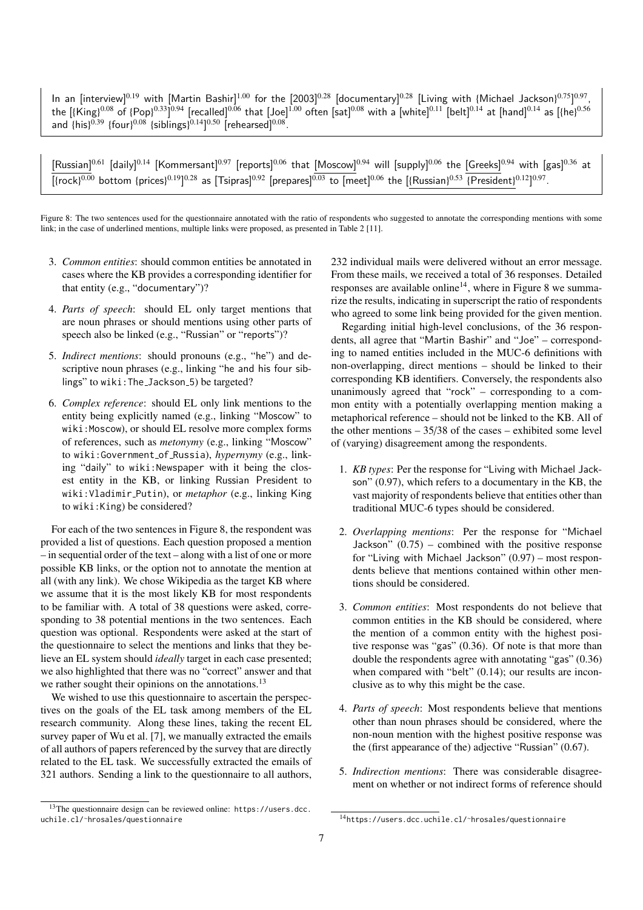In an [interview] $^{0.19}$  with [Martin Bashir] $^{1.00}$  for the [2003] $^{0.28}$  [documentary] $^{0.28}$  [Living with {Michael Jackson} $^{0.75}$ ] $^{0.97}$ , the [{King}<sup>0.08</sup> of {Pop}<sup>0.33</sup>]<sup>0.94</sup> [recalled]<sup>0.06</sup> that [Joe]<sup>1.00</sup> often [sat]<sup>0.08</sup> with a [white]<sup>0.11</sup> [belt]<sup>0.14</sup> at [hand]<sup>0.14</sup> as [{he}<sup>0.56</sup> and {his}<sup>0.39</sup> {four}<sup>0.08</sup> {siblings}<sup>0.14</sup>]<sup>0.50</sup> [rehearsed]<sup>0.08</sup> .

 $[Russian]^{0.61}$  [daily]<sup>0.14</sup> [Kommersant]<sup>0.97</sup> [reports]<sup>0.06</sup> that [Moscow]<sup>0.94</sup> will [supply]<sup>0.06</sup> the [Greeks]<sup>0.94</sup> with [gas]<sup>0.36</sup> at  $[\{rock\}^{0.00}$  bottom  $\{prices\}^{0.19}]^{0.28}$  as  $[\text{Tsipras}]^{0.92}$   $[\text{preparse}]^{0.03}$  to  $[\text{meet}]^{0.06}$  the  $[\{\text{Russian}\}^{0.53}$   $\{\text{President}\}^{0.12}]^{0.97}$ .

Figure 8: The two sentences used for the questionnaire annotated with the ratio of respondents who suggested to annotate the corresponding mentions with some link; in the case of underlined mentions, multiple links were proposed, as presented in Table 2 [11].

- 3. *Common entities*: should common entities be annotated in cases where the KB provides a corresponding identifier for that entity (e.g., "documentary")?
- 4. *Parts of speech*: should EL only target mentions that are noun phrases or should mentions using other parts of speech also be linked (e.g., "Russian" or "reports")?
- 5. *Indirect mentions*: should pronouns (e.g., "he") and descriptive noun phrases (e.g., linking "he and his four siblings" to wiki: The\_Jackson\_5) be targeted?
- 6. *Complex reference*: should EL only link mentions to the entity being explicitly named (e.g., linking "Moscow" to wiki: Moscow), or should EL resolve more complex forms of references, such as *metonymy* (e.g., linking "Moscow" to wiki:Government of Russia), *hypernymy* (e.g., linking "daily" to wiki:Newspaper with it being the closest entity in the KB, or linking Russian President to wiki:Vladimir Putin), or *metaphor* (e.g., linking King to wiki:King) be considered?

For each of the two sentences in Figure 8, the respondent was provided a list of questions. Each question proposed a mention – in sequential order of the text – along with a list of one or more possible KB links, or the option not to annotate the mention at all (with any link). We chose Wikipedia as the target KB where we assume that it is the most likely KB for most respondents to be familiar with. A total of 38 questions were asked, corresponding to 38 potential mentions in the two sentences. Each question was optional. Respondents were asked at the start of the questionnaire to select the mentions and links that they believe an EL system should *ideally* target in each case presented; we also highlighted that there was no "correct" answer and that we rather sought their opinions on the annotations.<sup>13</sup>

We wished to use this questionnaire to ascertain the perspectives on the goals of the EL task among members of the EL research community. Along these lines, taking the recent EL survey paper of Wu et al. [7], we manually extracted the emails of all authors of papers referenced by the survey that are directly related to the EL task. We successfully extracted the emails of 321 authors. Sending a link to the questionnaire to all authors,

232 individual mails were delivered without an error message. From these mails, we received a total of 36 responses. Detailed responses are available online<sup>14</sup>, where in Figure 8 we summarize the results, indicating in superscript the ratio of respondents who agreed to some link being provided for the given mention.

Regarding initial high-level conclusions, of the 36 respondents, all agree that "Martin Bashir" and "Joe" – corresponding to named entities included in the MUC-6 definitions with non-overlapping, direct mentions – should be linked to their corresponding KB identifiers. Conversely, the respondents also unanimously agreed that "rock" – corresponding to a common entity with a potentially overlapping mention making a metaphorical reference – should not be linked to the KB. All of the other mentions  $-35/38$  of the cases – exhibited some level of (varying) disagreement among the respondents.

- 1. *KB types*: Per the response for "Living with Michael Jackson" (0.97), which refers to a documentary in the KB, the vast majority of respondents believe that entities other than traditional MUC-6 types should be considered.
- 2. *Overlapping mentions*: Per the response for "Michael Jackson"  $(0.75)$  – combined with the positive response for "Living with Michael Jackson" (0.97) – most respondents believe that mentions contained within other mentions should be considered.
- 3. *Common entities*: Most respondents do not believe that common entities in the KB should be considered, where the mention of a common entity with the highest positive response was "gas" (0.36). Of note is that more than double the respondents agree with annotating "gas" (0.36) when compared with "belt" (0.14); our results are inconclusive as to why this might be the case.
- 4. *Parts of speech*: Most respondents believe that mentions other than noun phrases should be considered, where the non-noun mention with the highest positive response was the (first appearance of the) adjective "Russian" (0.67).
- 5. *Indirection mentions*: There was considerable disagreement on whether or not indirect forms of reference should

<sup>13</sup>The questionnaire design can be reviewed online: https://users.dcc. uchile.cl/∼hrosales/questionnaire

<sup>14</sup>https://users.dcc.uchile.cl/∼hrosales/questionnaire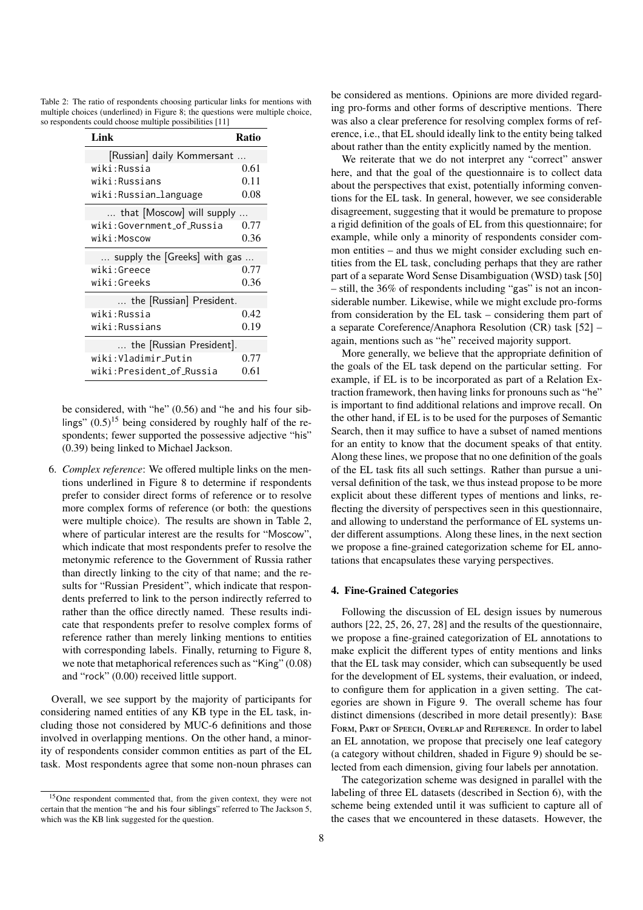Table 2: The ratio of respondents choosing particular links for mentions with multiple choices (underlined) in Figure 8; the questions were multiple choice, so respondents could choose multiple possibilities [11]

| Link                         | <b>Ratio</b> |  |  |  |  |  |  |  |  |
|------------------------------|--------------|--|--|--|--|--|--|--|--|
| [Russian] daily Kommersant   |              |  |  |  |  |  |  |  |  |
| wiki:Russia                  | 0.61         |  |  |  |  |  |  |  |  |
| wiki:Russians                | 0.11         |  |  |  |  |  |  |  |  |
| wiki:Russian_language        | 0.08         |  |  |  |  |  |  |  |  |
| that [Moscow] will supply    |              |  |  |  |  |  |  |  |  |
| wiki:Government_of_Russia    | 0.77         |  |  |  |  |  |  |  |  |
| wiki:Moscow                  | 0.36         |  |  |  |  |  |  |  |  |
| supply the [Greeks] with gas |              |  |  |  |  |  |  |  |  |
| wiki:Greece                  | 0.77         |  |  |  |  |  |  |  |  |
| wiki:Greeks                  | 0.36         |  |  |  |  |  |  |  |  |
| the [Russian] President.     |              |  |  |  |  |  |  |  |  |
| wiki:Russia                  | 0.42         |  |  |  |  |  |  |  |  |
| wiki:Russians                | 0.19         |  |  |  |  |  |  |  |  |
| the [Russian President].     |              |  |  |  |  |  |  |  |  |
| wiki:Vladimir_Putin          | 0.77         |  |  |  |  |  |  |  |  |
| wiki:President of Russia     | 0.61         |  |  |  |  |  |  |  |  |

be considered, with "he" (0.56) and "he and his four siblings"  $(0.5)^{15}$  being considered by roughly half of the respondents; fewer supported the possessive adjective "his" (0.39) being linked to Michael Jackson.

6. *Complex reference*: We offered multiple links on the mentions underlined in Figure 8 to determine if respondents prefer to consider direct forms of reference or to resolve more complex forms of reference (or both: the questions were multiple choice). The results are shown in Table 2, where of particular interest are the results for "Moscow", which indicate that most respondents prefer to resolve the metonymic reference to the Government of Russia rather than directly linking to the city of that name; and the results for "Russian President", which indicate that respondents preferred to link to the person indirectly referred to rather than the office directly named. These results indicate that respondents prefer to resolve complex forms of reference rather than merely linking mentions to entities with corresponding labels. Finally, returning to Figure 8, we note that metaphorical references such as "King" (0.08) and "rock" (0.00) received little support.

Overall, we see support by the majority of participants for considering named entities of any KB type in the EL task, including those not considered by MUC-6 definitions and those involved in overlapping mentions. On the other hand, a minority of respondents consider common entities as part of the EL task. Most respondents agree that some non-noun phrases can

be considered as mentions. Opinions are more divided regarding pro-forms and other forms of descriptive mentions. There was also a clear preference for resolving complex forms of reference, i.e., that EL should ideally link to the entity being talked about rather than the entity explicitly named by the mention.

We reiterate that we do not interpret any "correct" answer here, and that the goal of the questionnaire is to collect data about the perspectives that exist, potentially informing conventions for the EL task. In general, however, we see considerable disagreement, suggesting that it would be premature to propose a rigid definition of the goals of EL from this questionnaire; for example, while only a minority of respondents consider common entities – and thus we might consider excluding such entities from the EL task, concluding perhaps that they are rather part of a separate Word Sense Disambiguation (WSD) task [50] – still, the 36% of respondents including "gas" is not an inconsiderable number. Likewise, while we might exclude pro-forms from consideration by the EL task – considering them part of a separate Coreference/Anaphora Resolution (CR) task [52] – again, mentions such as "he" received majority support.

More generally, we believe that the appropriate definition of the goals of the EL task depend on the particular setting. For example, if EL is to be incorporated as part of a Relation Extraction framework, then having links for pronouns such as "he" is important to find additional relations and improve recall. On the other hand, if EL is to be used for the purposes of Semantic Search, then it may suffice to have a subset of named mentions for an entity to know that the document speaks of that entity. Along these lines, we propose that no one definition of the goals of the EL task fits all such settings. Rather than pursue a universal definition of the task, we thus instead propose to be more explicit about these different types of mentions and links, reflecting the diversity of perspectives seen in this questionnaire, and allowing to understand the performance of EL systems under different assumptions. Along these lines, in the next section we propose a fine-grained categorization scheme for EL annotations that encapsulates these varying perspectives.

#### 4. Fine-Grained Categories

Following the discussion of EL design issues by numerous authors [22, 25, 26, 27, 28] and the results of the questionnaire, we propose a fine-grained categorization of EL annotations to make explicit the different types of entity mentions and links that the EL task may consider, which can subsequently be used for the development of EL systems, their evaluation, or indeed, to configure them for application in a given setting. The categories are shown in Figure 9. The overall scheme has four distinct dimensions (described in more detail presently): Base Form, Part of Speech, Overlap and Reference. In order to label an EL annotation, we propose that precisely one leaf category (a category without children, shaded in Figure 9) should be selected from each dimension, giving four labels per annotation.

The categorization scheme was designed in parallel with the labeling of three EL datasets (described in Section 6), with the scheme being extended until it was sufficient to capture all of the cases that we encountered in these datasets. However, the

<sup>15</sup>One respondent commented that, from the given context, they were not certain that the mention "he and his four siblings" referred to The Jackson 5, which was the KB link suggested for the question.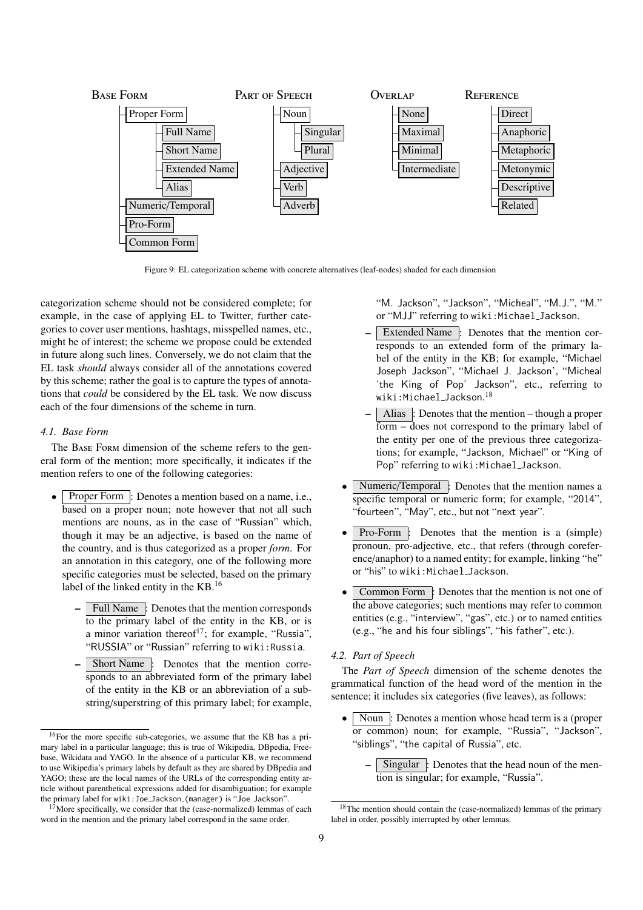

Figure 9: EL categorization scheme with concrete alternatives (leaf-nodes) shaded for each dimension

categorization scheme should not be considered complete; for example, in the case of applying EL to Twitter, further categories to cover user mentions, hashtags, misspelled names, etc., might be of interest; the scheme we propose could be extended in future along such lines. Conversely, we do not claim that the EL task *should* always consider all of the annotations covered by this scheme; rather the goal is to capture the types of annotations that *could* be considered by the EL task. We now discuss each of the four dimensions of the scheme in turn.

# *4.1. Base Form*

The Base Form dimension of the scheme refers to the general form of the mention; more specifically, it indicates if the mention refers to one of the following categories:

- **Proper Form** : Denotes a mention based on a name, i.e., based on a proper noun; note however that not all such mentions are nouns, as in the case of "Russian" which, though it may be an adjective, is based on the name of the country, and is thus categorized as a proper *form*. For an annotation in this category, one of the following more specific categories must be selected, based on the primary label of the linked entity in the KB.<sup>16</sup>
	- Full Name : Denotes that the mention corresponds to the primary label of the entity in the KB, or is a minor variation thereof<sup>17</sup>; for example, "Russia", "RUSSIA" or "Russian" referring to wiki:Russia.
	- Short Name : Denotes that the mention corresponds to an abbreviated form of the primary label of the entity in the KB or an abbreviation of a substring/superstring of this primary label; for example,

"M. Jackson", "Jackson", "Micheal", "M.J.", "M." or "MJJ" referring to wiki: Michael\_Jackson.

- Extended Name : Denotes that the mention corresponds to an extended form of the primary label of the entity in the KB; for example, "Michael Joseph Jackson", "Michael J. Jackson', "Micheal 'the King of Pop' Jackson", etc., referring to wiki:Michael Jackson. 18
- Alias : Denotes that the mention though a proper form – does not correspond to the primary label of the entity per one of the previous three categorizations; for example, "Jackson, Michael" or "King of Pop" referring to wiki: Michael\_Jackson.
- Numeric/Temporal : Denotes that the mention names a specific temporal or numeric form; for example, "2014", "fourteen", "May", etc., but not "next year".
- Pro-Form : Denotes that the mention is a (simple) pronoun, pro-adjective, etc., that refers (through coreference/anaphor) to a named entity; for example, linking "he" or "his" to wiki:Michael Jackson.
- Common Form : Denotes that the mention is not one of the above categories; such mentions may refer to common entities (e.g., "interview", "gas", etc.) or to named entities (e.g., "he and his four siblings", "his father", etc.).

### *4.2. Part of Speech*

The *Part of Speech* dimension of the scheme denotes the grammatical function of the head word of the mention in the sentence; it includes six categories (five leaves), as follows:

- Noun : Denotes a mention whose head term is a (proper or common) noun; for example, "Russia", "Jackson", "siblings", "the capital of Russia", etc.
	- Singular : Denotes that the head noun of the mention is singular; for example, "Russia".

<sup>&</sup>lt;sup>16</sup>For the more specific sub-categories, we assume that the KB has a primary label in a particular language; this is true of Wikipedia, DBpedia, Freebase, Wikidata and YAGO. In the absence of a particular KB, we recommend to use Wikipedia's primary labels by default as they are shared by DBpedia and YAGO; these are the local names of the URLs of the corresponding entity article without parenthetical expressions added for disambiguation; for example the primary label for wiki:Joe Jackson (manager) is "Joe Jackson".

 $17$ More specifically, we consider that the (case-normalized) lemmas of each word in the mention and the primary label correspond in the same order.

<sup>&</sup>lt;sup>18</sup>The mention should contain the (case-normalized) lemmas of the primary label in order, possibly interrupted by other lemmas.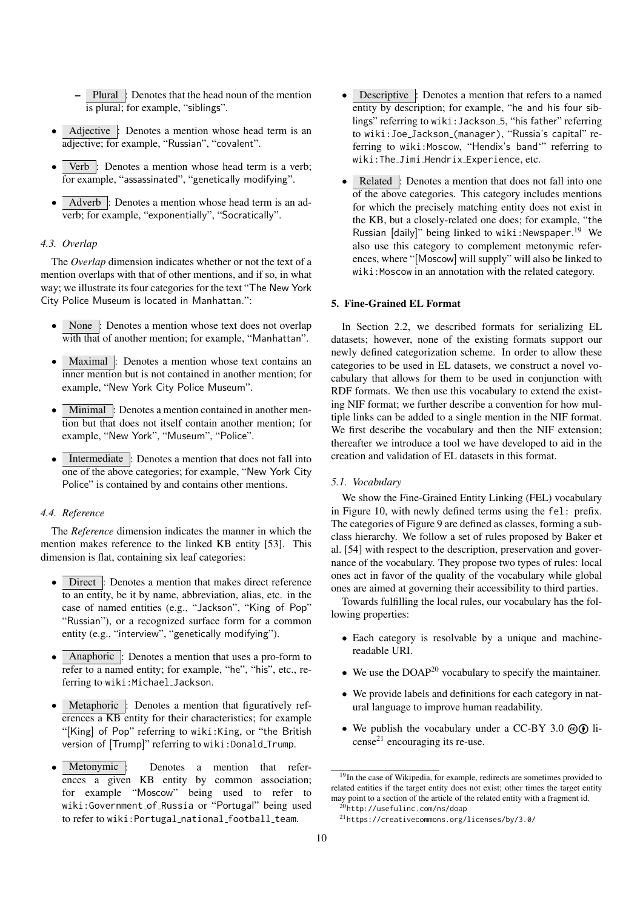Plural: Denotes that the head noun of the mention is plural; for example, "siblings".

- Adjective : Denotes a mention whose head term is an adjective; for example, "Russian", "covalent".
- Verb : Denotes a mention whose head term is a verb; for example, "assassinated", "genetically modifying".
- Adverb : Denotes a mention whose head term is an adverb; for example, "exponentially", "Socratically".

# *4.3. Overlap*

The *Overlap* dimension indicates whether or not the text of a mention overlaps with that of other mentions, and if so, in what way; we illustrate its four categories for the text "The New York City Police Museum is located in Manhattan.":

- None : Denotes a mention whose text does not overlap with that of another mention; for example, "Manhattan".
- Maximal : Denotes a mention whose text contains an inner mention but is not contained in another mention; for example, "New York City Police Museum".
- Minimal : Denotes a mention contained in another mention but that does not itself contain another mention; for example, "New York", "Museum", "Police".
- Intermediate : Denotes a mention that does not fall into one of the above categories; for example, "New York City Police" is contained by and contains other mentions.

# *4.4. Reference*

The *Reference* dimension indicates the manner in which the mention makes reference to the linked KB entity [53]. This dimension is flat, containing six leaf categories:

- Direct : Denotes a mention that makes direct reference to an entity, be it by name, abbreviation, alias, etc. in the case of named entities (e.g., "Jackson", "King of Pop" "Russian"), or a recognized surface form for a common entity (e.g., "interview", "genetically modifying").
- Anaphoric: : Denotes a mention that uses a pro-form to refer to a named entity; for example, "he", "his", etc., referring to wiki:Michael Jackson.
- Metaphoric : Denotes a mention that figuratively references a KB entity for their characteristics; for example "[King] of Pop" referring to wiki:King, or "the British version of [Trump]" referring to wiki:Donald\_Trump.
- Metonymic : Denotes a mention that references a given KB entity by common association; for example "Moscow" being used to refer to wiki:Government\_of\_Russia or "Portugal" being used to refer to wiki: Portugal\_national\_football\_team.
- Descriptive : Denotes a mention that refers to a named entity by description; for example, "he and his four siblings" referring to wiki: Jackson<sub>-5</sub>, "his father" referring to wiki:Joe\_Jackson\_(manager), "Russia's capital" referring to wiki:Moscow, "Hendix's band'" referring to wiki:The Jimi Hendrix Experience, etc.
- Related : Denotes a mention that does not fall into one of the above categories. This category includes mentions for which the precisely matching entity does not exist in the KB, but a closely-related one does; for example, "the Russian [daily]" being linked to wiki:Newspaper.<sup>19</sup> We also use this category to complement metonymic references, where "[Moscow] will supply" will also be linked to wiki: Moscow in an annotation with the related category.

# 5. Fine-Grained EL Format

In Section 2.2, we described formats for serializing EL datasets; however, none of the existing formats support our newly defined categorization scheme. In order to allow these categories to be used in EL datasets, we construct a novel vocabulary that allows for them to be used in conjunction with RDF formats. We then use this vocabulary to extend the existing NIF format; we further describe a convention for how multiple links can be added to a single mention in the NIF format. We first describe the vocabulary and then the NIF extension; thereafter we introduce a tool we have developed to aid in the creation and validation of EL datasets in this format.

# *5.1. Vocabulary*

We show the Fine-Grained Entity Linking (FEL) vocabulary in Figure 10, with newly defined terms using the fel: prefix. The categories of Figure 9 are defined as classes, forming a subclass hierarchy. We follow a set of rules proposed by Baker et al. [54] with respect to the description, preservation and governance of the vocabulary. They propose two types of rules: local ones act in favor of the quality of the vocabulary while global ones are aimed at governing their accessibility to third parties.

Towards fulfilling the local rules, our vocabulary has the following properties:

- Each category is resolvable by a unique and machinereadable URI.
- We use the  $DOAP<sup>20</sup>$  vocabulary to specify the maintainer.
- We provide labels and definitions for each category in natural language to improve human readability.
- We publish the vocabulary under a CC-BY 3.0  $\textcircled{6}$  license<sup>21</sup> encouraging its re-use.

<sup>&</sup>lt;sup>19</sup>In the case of Wikipedia, for example, redirects are sometimes provided to related entities if the target entity does not exist; other times the target entity may point to a section of the article of the related entity with a fragment id.

<sup>20</sup>http://usefulinc.com/ns/doap

<sup>21</sup>https://creativecommons.org/licenses/by/3.0/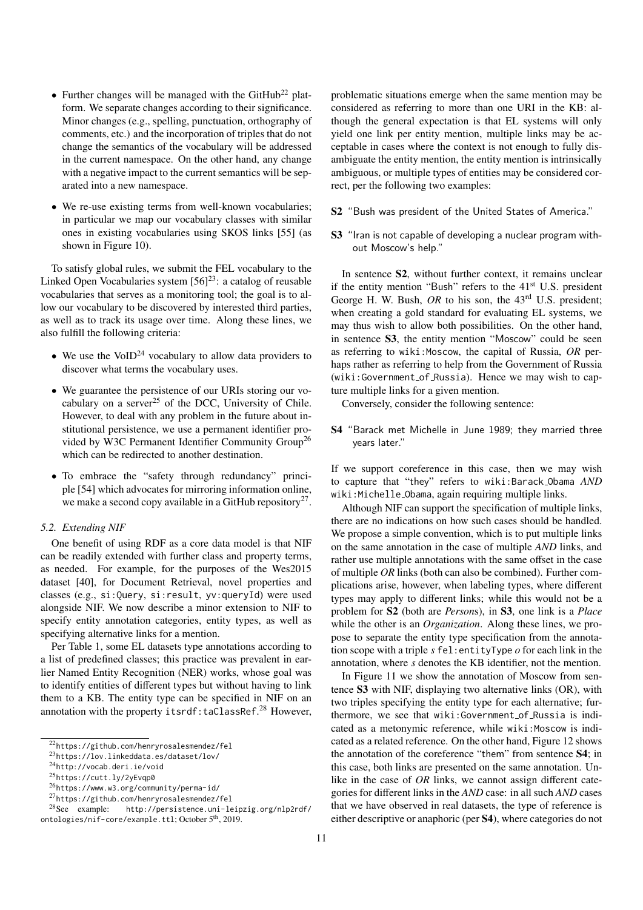- Further changes will be managed with the GitHub<sup>22</sup> platform. We separate changes according to their significance. Minor changes (e.g., spelling, punctuation, orthography of comments, etc.) and the incorporation of triples that do not change the semantics of the vocabulary will be addressed in the current namespace. On the other hand, any change with a negative impact to the current semantics will be separated into a new namespace.
- We re-use existing terms from well-known vocabularies; in particular we map our vocabulary classes with similar ones in existing vocabularies using SKOS links [55] (as shown in Figure 10).

To satisfy global rules, we submit the FEL vocabulary to the Linked Open Vocabularies system  $[56]^{23}$ : a catalog of reusable vocabularies that serves as a monitoring tool; the goal is to allow our vocabulary to be discovered by interested third parties, as well as to track its usage over time. Along these lines, we also fulfill the following criteria:

- We use the VoID<sup>24</sup> vocabulary to allow data providers to discover what terms the vocabulary uses.
- We guarantee the persistence of our URIs storing our vocabulary on a server<sup>25</sup> of the DCC, University of Chile. However, to deal with any problem in the future about institutional persistence, we use a permanent identifier provided by W3C Permanent Identifier Community Group<sup>26</sup> which can be redirected to another destination.
- To embrace the "safety through redundancy" principle [54] which advocates for mirroring information online, we make a second copy available in a GitHub repository<sup>27</sup>.

#### *5.2. Extending NIF*

One benefit of using RDF as a core data model is that NIF can be readily extended with further class and property terms, as needed. For example, for the purposes of the Wes2015 dataset [40], for Document Retrieval, novel properties and classes (e.g., si:Query, si:result, yv:queryId) were used alongside NIF. We now describe a minor extension to NIF to specify entity annotation categories, entity types, as well as specifying alternative links for a mention.

Per Table 1, some EL datasets type annotations according to a list of predefined classes; this practice was prevalent in earlier Named Entity Recognition (NER) works, whose goal was to identify entities of different types but without having to link them to a KB. The entity type can be specified in NIF on an annotation with the property <code>itsrdf:taClassRef. $^{28}$  However,</code>

```
27https://github.com/henryrosalesmendez/fel
```
problematic situations emerge when the same mention may be considered as referring to more than one URI in the KB: although the general expectation is that EL systems will only yield one link per entity mention, multiple links may be acceptable in cases where the context is not enough to fully disambiguate the entity mention, the entity mention is intrinsically ambiguous, or multiple types of entities may be considered correct, per the following two examples:

- S2 "Bush was president of the United States of America."
- S3 "Iran is not capable of developing a nuclear program without Moscow's help."

In sentence S2, without further context, it remains unclear if the entity mention "Bush" refers to the 41<sup>st</sup> U.S. president George H. W. Bush, *OR* to his son, the 43<sup>rd</sup> U.S. president; when creating a gold standard for evaluating EL systems, we may thus wish to allow both possibilities. On the other hand, in sentence S3, the entity mention "Moscow" could be seen as referring to wiki:Moscow, the capital of Russia, *OR* perhaps rather as referring to help from the Government of Russia (wiki:Government of Russia). Hence we may wish to capture multiple links for a given mention.

Conversely, consider the following sentence:

S4 "Barack met Michelle in June 1989; they married three years later."

If we support coreference in this case, then we may wish to capture that "they" refers to wiki:Barack Obama *AND* wiki:Michelle Obama, again requiring multiple links.

Although NIF can support the specification of multiple links, there are no indications on how such cases should be handled. We propose a simple convention, which is to put multiple links on the same annotation in the case of multiple *AND* links, and rather use multiple annotations with the same offset in the case of multiple *OR* links (both can also be combined). Further complications arise, however, when labeling types, where different types may apply to different links; while this would not be a problem for S2 (both are *Person*s), in S3, one link is a *Place* while the other is an *Organization*. Along these lines, we propose to separate the entity type specification from the annotation scope with a triple *s* fel:entityType *o* for each link in the annotation, where *s* denotes the KB identifier, not the mention.

In Figure 11 we show the annotation of Moscow from sentence S3 with NIF, displaying two alternative links (OR), with two triples specifying the entity type for each alternative; furthermore, we see that wiki:Government\_of\_Russia is indicated as a metonymic reference, while wiki: Moscow is indicated as a related reference. On the other hand, Figure 12 shows the annotation of the coreference "them" from sentence S4; in this case, both links are presented on the same annotation. Unlike in the case of *OR* links, we cannot assign different categories for different links in the *AND* case: in all such *AND* cases that we have observed in real datasets, the type of reference is either descriptive or anaphoric (per S4), where categories do not

<sup>22</sup>https://github.com/henryrosalesmendez/fel

<sup>23</sup>https://lov.linkeddata.es/dataset/lov/

<sup>24</sup>http://vocab.deri.ie/void

<sup>25</sup>https://cutt.ly/2yEvqp0

<sup>26</sup>https://www.w3.org/community/perma-id/

<sup>28</sup>See example: http://persistence.uni-leipzig.org/nlp2rdf/ ontologies/nif-core/example.ttl; October 5<sup>th</sup>, 2019.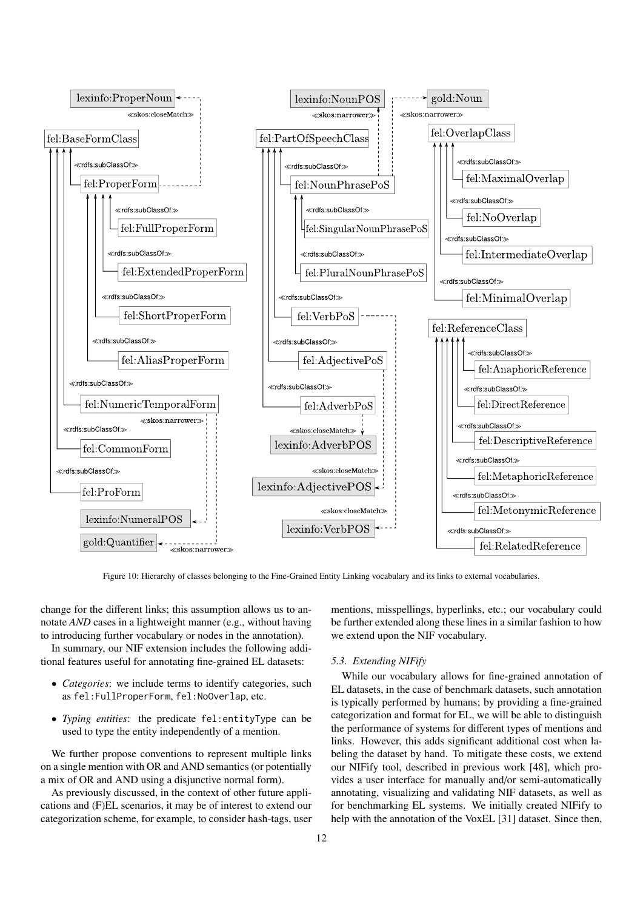

Figure 10: Hierarchy of classes belonging to the Fine-Grained Entity Linking vocabulary and its links to external vocabularies.

change for the different links; this assumption allows us to annotate *AND* cases in a lightweight manner (e.g., without having to introducing further vocabulary or nodes in the annotation).

In summary, our NIF extension includes the following additional features useful for annotating fine-grained EL datasets:

- *Categories*: we include terms to identify categories, such as fel:FullProperForm, fel:NoOverlap, etc.
- *Typing entities*: the predicate fel:entityType can be used to type the entity independently of a mention.

We further propose conventions to represent multiple links on a single mention with OR and AND semantics (or potentially a mix of OR and AND using a disjunctive normal form).

As previously discussed, in the context of other future applications and (F)EL scenarios, it may be of interest to extend our categorization scheme, for example, to consider hash-tags, user mentions, misspellings, hyperlinks, etc.; our vocabulary could be further extended along these lines in a similar fashion to how we extend upon the NIF vocabulary.

# *5.3. Extending NIFify*

While our vocabulary allows for fine-grained annotation of EL datasets, in the case of benchmark datasets, such annotation is typically performed by humans; by providing a fine-grained categorization and format for EL, we will be able to distinguish the performance of systems for different types of mentions and links. However, this adds significant additional cost when labeling the dataset by hand. To mitigate these costs, we extend our NIFify tool, described in previous work [48], which provides a user interface for manually and/or semi-automatically annotating, visualizing and validating NIF datasets, as well as for benchmarking EL systems. We initially created NIFify to help with the annotation of the VoxEL [31] dataset. Since then,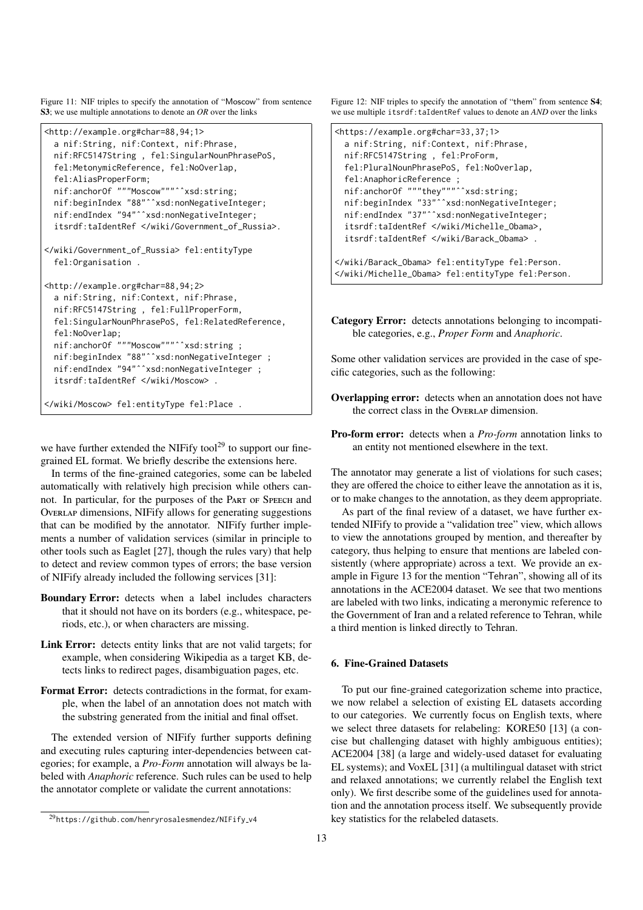Figure 11: NIF triples to specify the annotation of "Moscow" from sentence S3; we use multiple annotations to denote an *OR* over the links

```
<http://example.org#char=88,94;1>
 a nif:String, nif:Context, nif:Phrase,
 nif:RFC5147String , fel:SingularNounPhrasePoS,
 fel:MetonymicReference, fel:NoOverlap,
 fel:AliasProperForm;
 nif:anchorOf """Moscow"""ˆˆxsd:string;
 nif:beginIndex "88"ˆˆxsd:nonNegativeInteger;
 nif:endIndex "94"ˆˆxsd:nonNegativeInteger;
 itsrdf:taIdentRef </wiki/Government_of_Russia>.
</wiki/Government_of_Russia> fel:entityType
 fel:Organisation .
<http://example.org#char=88,94;2>
 a nif:String, nif:Context, nif:Phrase,
 nif:RFC5147String , fel:FullProperForm,
 fel:SingularNounPhrasePoS, fel:RelatedReference,
 fel:NoOverlap;
 nif:anchorOf """Moscow"""^^xsd:string ;
 nif:beginIndex "88"^^xsd:nonNegativeInteger;
 nif:endIndex "94"^^xsd:nonNegativeInteger;
 itsrdf:taIdentRef </wiki/Moscow> .
</wiki/Moscow> fel:entityType fel:Place .
```
we have further extended the NIFify tool<sup>29</sup> to support our finegrained EL format. We briefly describe the extensions here.

In terms of the fine-grained categories, some can be labeled automatically with relatively high precision while others cannot. In particular, for the purposes of the Part of Speech and Overlap dimensions, NIFify allows for generating suggestions that can be modified by the annotator. NIFify further implements a number of validation services (similar in principle to other tools such as Eaglet [27], though the rules vary) that help to detect and review common types of errors; the base version of NIFify already included the following services [31]:

- Boundary Error: detects when a label includes characters that it should not have on its borders (e.g., whitespace, periods, etc.), or when characters are missing.
- Link Error: detects entity links that are not valid targets; for example, when considering Wikipedia as a target KB, detects links to redirect pages, disambiguation pages, etc.
- Format Error: detects contradictions in the format, for example, when the label of an annotation does not match with the substring generated from the initial and final offset.

The extended version of NIFify further supports defining and executing rules capturing inter-dependencies between categories; for example, a *Pro-Form* annotation will always be labeled with *Anaphoric* reference. Such rules can be used to help the annotator complete or validate the current annotations:

Figure 12: NIF triples to specify the annotation of "them" from sentence S4; we use multiple itsrdf:taIdentRef values to denote an *AND* over the links

```
<https://example.org#char=33,37;1>
  a nif:String, nif:Context, nif:Phrase,
  nif:RFC5147String , fel:ProForm,
  fel:PluralNounPhrasePoS, fel:NoOverlap,
  fel:AnaphoricReference ;
  nif:anchorOf """they"""^^xsd:string;
  nif:beginIndex "33"ˆˆxsd:nonNegativeInteger;
  nif:endIndex "37"^^xsd:nonNegativeInteger;
  itsrdf:taIdentRef </wiki/Michelle_Obama>,
  itsrdf:taIdentRef </wiki/Barack_Obama> .
</wiki/Barack_Obama> fel:entityType fel:Person.
</wiki/Michelle_Obama> fel:entityType fel:Person.
```
Category Error: detects annotations belonging to incompatible categories, e.g., *Proper Form* and *Anaphoric*.

Some other validation services are provided in the case of specific categories, such as the following:

- Overlapping error: detects when an annotation does not have the correct class in the OverLap dimension.
- Pro-form error: detects when a *Pro-form* annotation links to an entity not mentioned elsewhere in the text.

The annotator may generate a list of violations for such cases; they are offered the choice to either leave the annotation as it is, or to make changes to the annotation, as they deem appropriate.

As part of the final review of a dataset, we have further extended NIFify to provide a "validation tree" view, which allows to view the annotations grouped by mention, and thereafter by category, thus helping to ensure that mentions are labeled consistently (where appropriate) across a text. We provide an example in Figure 13 for the mention "Tehran", showing all of its annotations in the ACE2004 dataset. We see that two mentions are labeled with two links, indicating a meronymic reference to the Government of Iran and a related reference to Tehran, while a third mention is linked directly to Tehran.

# 6. Fine-Grained Datasets

To put our fine-grained categorization scheme into practice, we now relabel a selection of existing EL datasets according to our categories. We currently focus on English texts, where we select three datasets for relabeling: KORE50 [13] (a concise but challenging dataset with highly ambiguous entities); ACE2004 [38] (a large and widely-used dataset for evaluating EL systems); and VoxEL [31] (a multilingual dataset with strict and relaxed annotations; we currently relabel the English text only). We first describe some of the guidelines used for annotation and the annotation process itself. We subsequently provide key statistics for the relabeled datasets.

<sup>29</sup>https://github.com/henryrosalesmendez/NIFify\_v4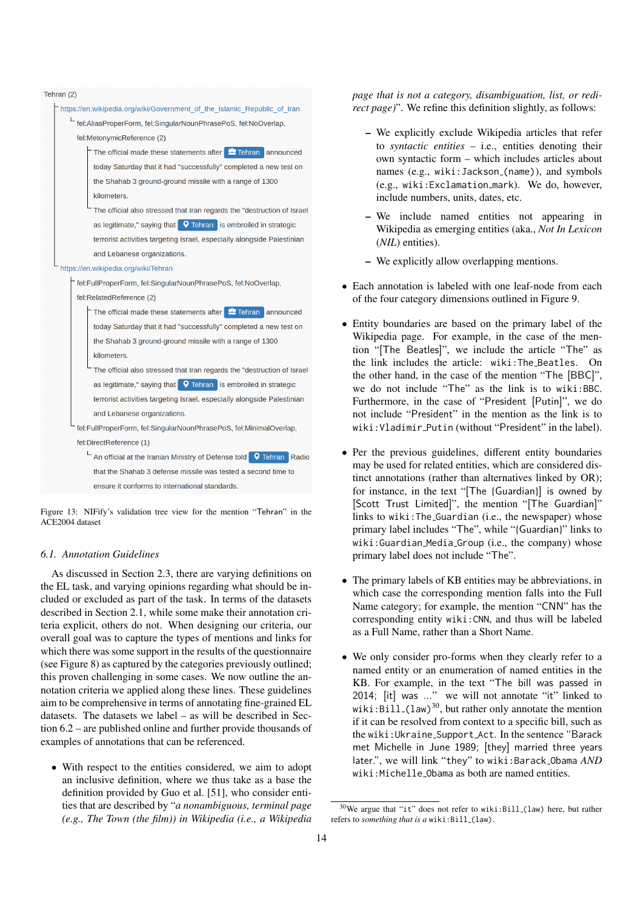| Tehran (2)                                                                      |  |  |  |  |  |  |  |  |
|---------------------------------------------------------------------------------|--|--|--|--|--|--|--|--|
| https://en.wikipedia.org/wiki/Government of the Islamic Republic of Iran        |  |  |  |  |  |  |  |  |
| _ fel:AliasProperForm, fel:SingularNounPhrasePoS, fel:NoOverlap,                |  |  |  |  |  |  |  |  |
| fel:MetonymicReference (2)                                                      |  |  |  |  |  |  |  |  |
| The official made these statements after $\Box$ Tehran<br>announced             |  |  |  |  |  |  |  |  |
| today Saturday that it had "successfully" completed a new test on               |  |  |  |  |  |  |  |  |
| the Shahab 3 ground-ground missile with a range of 1300                         |  |  |  |  |  |  |  |  |
| kilometers.                                                                     |  |  |  |  |  |  |  |  |
| The official also stressed that Iran regards the "destruction of Israel         |  |  |  |  |  |  |  |  |
| as legitimate," saying that $\bigcirc$ Tehran is embroiled in strategic         |  |  |  |  |  |  |  |  |
| terrorist activities targeting Israel, especially alongside Palestinian         |  |  |  |  |  |  |  |  |
| and Lebanese organizations.                                                     |  |  |  |  |  |  |  |  |
| https://en.wikipedia.org/wiki/Tehran                                            |  |  |  |  |  |  |  |  |
| fel:FullProperForm, fel:SingularNounPhrasePoS, fel:NoOverlap,                   |  |  |  |  |  |  |  |  |
| fel:RelatedReference (2)                                                        |  |  |  |  |  |  |  |  |
| The official made these statements after $\Box$ Tehran announced                |  |  |  |  |  |  |  |  |
| today Saturday that it had "successfully" completed a new test on               |  |  |  |  |  |  |  |  |
| the Shahab 3 ground-ground missile with a range of 1300                         |  |  |  |  |  |  |  |  |
| kilometers.                                                                     |  |  |  |  |  |  |  |  |
| The official also stressed that Iran regards the "destruction of Israel         |  |  |  |  |  |  |  |  |
| as legitimate," saying that $\bigcirc$ Tehran is embroiled in strategic         |  |  |  |  |  |  |  |  |
| terrorist activities targeting Israel, especially alongside Palestinian         |  |  |  |  |  |  |  |  |
| and Lebanese organizations.                                                     |  |  |  |  |  |  |  |  |
| fel:FullProperForm, fel:SingularNounPhrasePoS, fel:MinimalOverlap,              |  |  |  |  |  |  |  |  |
| fel:DirectReference (1)                                                         |  |  |  |  |  |  |  |  |
| An official at the Iranian Ministry of Defense told<br>Radio<br><b>Q</b> Tehran |  |  |  |  |  |  |  |  |
| that the Shahab 3 defense missile was tested a second time to                   |  |  |  |  |  |  |  |  |
| ensure it conforms to international standards.                                  |  |  |  |  |  |  |  |  |

Figure 13: NIFify's validation tree view for the mention "Tehran" in the ACE2004 dataset

#### *6.1. Annotation Guidelines*

As discussed in Section 2.3, there are varying definitions on the EL task, and varying opinions regarding what should be included or excluded as part of the task. In terms of the datasets described in Section 2.1, while some make their annotation criteria explicit, others do not. When designing our criteria, our overall goal was to capture the types of mentions and links for which there was some support in the results of the questionnaire (see Figure 8) as captured by the categories previously outlined; this proven challenging in some cases. We now outline the annotation criteria we applied along these lines. These guidelines aim to be comprehensive in terms of annotating fine-grained EL datasets. The datasets we label – as will be described in Section 6.2 – are published online and further provide thousands of examples of annotations that can be referenced.

• With respect to the entities considered, we aim to adopt an inclusive definition, where we thus take as a base the definition provided by Guo et al. [51], who consider entities that are described by "*a nonambiguous, terminal page (e.g., The Town (the film)) in Wikipedia (i.e., a Wikipedia*

*page that is not a category, disambiguation, list, or redirect page)*". We refine this definition slightly, as follows:

- We explicitly exclude Wikipedia articles that refer to *syntactic entities* – i.e., entities denoting their own syntactic form – which includes articles about names (e.g., wiki: Jackson (name)), and symbols (e.g., wiki:Exclamation mark). We do, however, include numbers, units, dates, etc.
- We include named entities not appearing in Wikipedia as emerging entities (aka., *Not In Lexicon* (*NIL*) entities).
- We explicitly allow overlapping mentions.
- Each annotation is labeled with one leaf-node from each of the four category dimensions outlined in Figure 9.
- Entity boundaries are based on the primary label of the Wikipedia page. For example, in the case of the mention "[The Beatles]", we include the article "The" as the link includes the article: wiki:The Beatles. On the other hand, in the case of the mention "The [BBC]", we do not include "The" as the link is to wiki:BBC. Furthermore, in the case of "President [Putin]", we do not include "President" in the mention as the link is to wiki: Vladimir\_Putin (without "President" in the label).
- Per the previous guidelines, different entity boundaries may be used for related entities, which are considered distinct annotations (rather than alternatives linked by OR); for instance, in the text "[The {Guardian}] is owned by [Scott Trust Limited]", the mention "[The Guardian]" links to wiki:The Guardian (i.e., the newspaper) whose primary label includes "The", while "{Guardian}" links to wiki:Guardian Media Group (i.e., the company) whose primary label does not include "The".
- The primary labels of KB entities may be abbreviations, in which case the corresponding mention falls into the Full Name category; for example, the mention "CNN" has the corresponding entity wiki:CNN, and thus will be labeled as a Full Name, rather than a Short Name.
- We only consider pro-forms when they clearly refer to a named entity or an enumeration of named entities in the KB. For example, in the text "The bill was passed in 2014; [it] was ..." we will not annotate "it" linked to wiki: $Bill_{\text{I}}$  (law)<sup>30</sup>, but rather only annotate the mention if it can be resolved from context to a specific bill, such as the wiki:Ukraine Support Act. In the sentence "Barack met Michelle in June 1989; [they] married three years later.", we will link "they" to wiki:Barack Obama *AND* wiki:Michelle Obama as both are named entities.

<sup>&</sup>lt;sup>30</sup>We argue that "it" does not refer to wiki:Bill\_(law) here, but rather refers to *something that is a* wiki:Bill\_(law).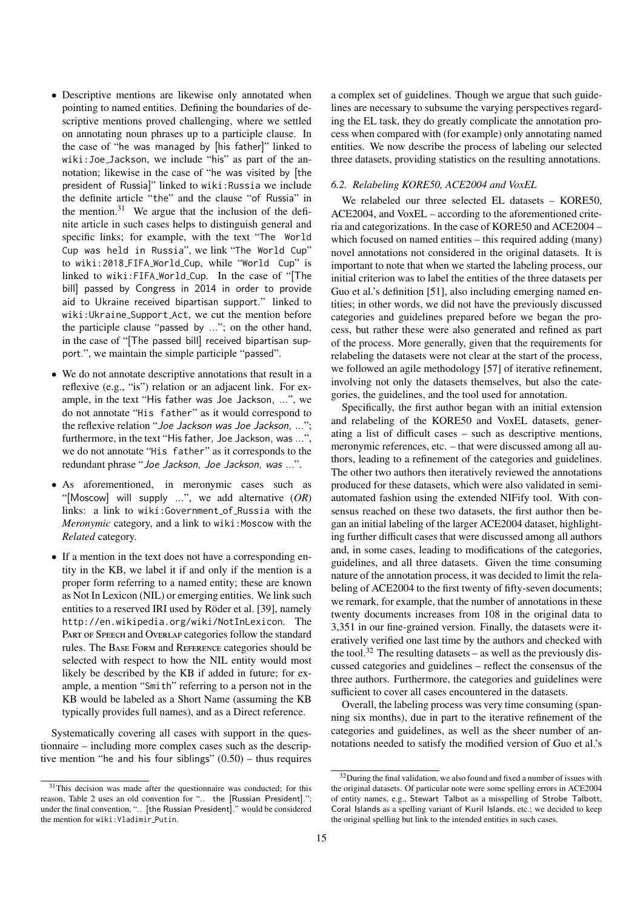- Descriptive mentions are likewise only annotated when pointing to named entities. Defining the boundaries of descriptive mentions proved challenging, where we settled on annotating noun phrases up to a participle clause. In the case of "he was managed by [his father]" linked to wiki:Joe Jackson, we include "his" as part of the annotation; likewise in the case of "he was visited by [the president of Russia]" linked to wiki:Russia we include the definite article "the" and the clause "of Russia" in the mention. $31$  We argue that the inclusion of the definite article in such cases helps to distinguish general and specific links; for example, with the text "The World Cup was held in Russia", we link "The World Cup" to wiki:2018 FIFA World Cup, while "World Cup" is linked to wiki:FIFA World Cup. In the case of "[The bill] passed by Congress in 2014 in order to provide aid to Ukraine received bipartisan support." linked to wiki:Ukraine Support Act, we cut the mention before the participle clause "passed by ..."; on the other hand, in the case of "[The passed bill] received bipartisan support.", we maintain the simple participle "passed".
- We do not annotate descriptive annotations that result in a reflexive (e.g., "is") relation or an adjacent link. For example, in the text "His father was Joe Jackson, ...", we do not annotate "His father" as it would correspond to the reflexive relation "Joe Jackson was Joe Jackson, ..."; furthermore, in the text "His father, Joe Jackson, was ...", we do not annotate "His father" as it corresponds to the redundant phrase "Joe Jackson, Joe Jackson, was ...".
- As aforementioned, in meronymic cases such as "[Moscow] will supply ...", we add alternative (*OR*) links: a link to wiki:Government of Russia with the *Meronymic* category, and a link to wiki: Moscow with the *Related* category.
- If a mention in the text does not have a corresponding entity in the KB, we label it if and only if the mention is a proper form referring to a named entity; these are known as Not In Lexicon (NIL) or emerging entities. We link such entities to a reserved IRI used by Röder et al. [39], namely http://en.wikipedia.org/wiki/NotInLexicon. The PART OF SPEECH and OVERLAP categories follow the standard rules. The Base Form and Reference categories should be selected with respect to how the NIL entity would most likely be described by the KB if added in future; for example, a mention "Smith" referring to a person not in the KB would be labeled as a Short Name (assuming the KB typically provides full names), and as a Direct reference.

Systematically covering all cases with support in the questionnaire – including more complex cases such as the descriptive mention "he and his four siblings"  $(0.50)$  – thus requires

a complex set of guidelines. Though we argue that such guidelines are necessary to subsume the varying perspectives regarding the EL task, they do greatly complicate the annotation process when compared with (for example) only annotating named entities. We now describe the process of labeling our selected three datasets, providing statistics on the resulting annotations.

### *6.2. Relabeling KORE50, ACE2004 and VoxEL*

We relabeled our three selected EL datasets – KORE50, ACE2004, and VoxEL – according to the aforementioned criteria and categorizations. In the case of KORE50 and ACE2004 – which focused on named entities – this required adding (many) novel annotations not considered in the original datasets. It is important to note that when we started the labeling process, our initial criterion was to label the entities of the three datasets per Guo et al.'s definition [51], also including emerging named entities; in other words, we did not have the previously discussed categories and guidelines prepared before we began the process, but rather these were also generated and refined as part of the process. More generally, given that the requirements for relabeling the datasets were not clear at the start of the process, we followed an agile methodology [57] of iterative refinement, involving not only the datasets themselves, but also the categories, the guidelines, and the tool used for annotation.

Specifically, the first author began with an initial extension and relabeling of the KORE50 and VoxEL datasets, generating a list of difficult cases – such as descriptive mentions, meronymic references, etc. – that were discussed among all authors, leading to a refinement of the categories and guidelines. The other two authors then iteratively reviewed the annotations produced for these datasets, which were also validated in semiautomated fashion using the extended NIFify tool. With consensus reached on these two datasets, the first author then began an initial labeling of the larger ACE2004 dataset, highlighting further difficult cases that were discussed among all authors and, in some cases, leading to modifications of the categories, guidelines, and all three datasets. Given the time consuming nature of the annotation process, it was decided to limit the relabeling of ACE2004 to the first twenty of fifty-seven documents; we remark, for example, that the number of annotations in these twenty documents increases from 108 in the original data to 3,351 in our fine-grained version. Finally, the datasets were iteratively verified one last time by the authors and checked with the tool.<sup>32</sup> The resulting datasets – as well as the previously discussed categories and guidelines – reflect the consensus of the three authors. Furthermore, the categories and guidelines were sufficient to cover all cases encountered in the datasets.

Overall, the labeling process was very time consuming (spanning six months), due in part to the iterative refinement of the categories and guidelines, as well as the sheer number of annotations needed to satisfy the modified version of Guo et al.'s

<sup>&</sup>lt;sup>31</sup>This decision was made after the questionnaire was conducted; for this reason, Table 2 uses an old convention for ".. the [Russian President]."; under the final convention, ".. [the Russian President]." would be considered the mention for wiki:Vladimir Putin.

 $32$  During the final validation, we also found and fixed a number of issues with the original datasets. Of particular note were some spelling errors in ACE2004 of entity names, e.g., Stewart Talbot as a misspelling of Strobe Talbott, Coral Islands as a spelling variant of Kuril Islands, etc.; we decided to keep the original spelling but link to the intended entities in such cases.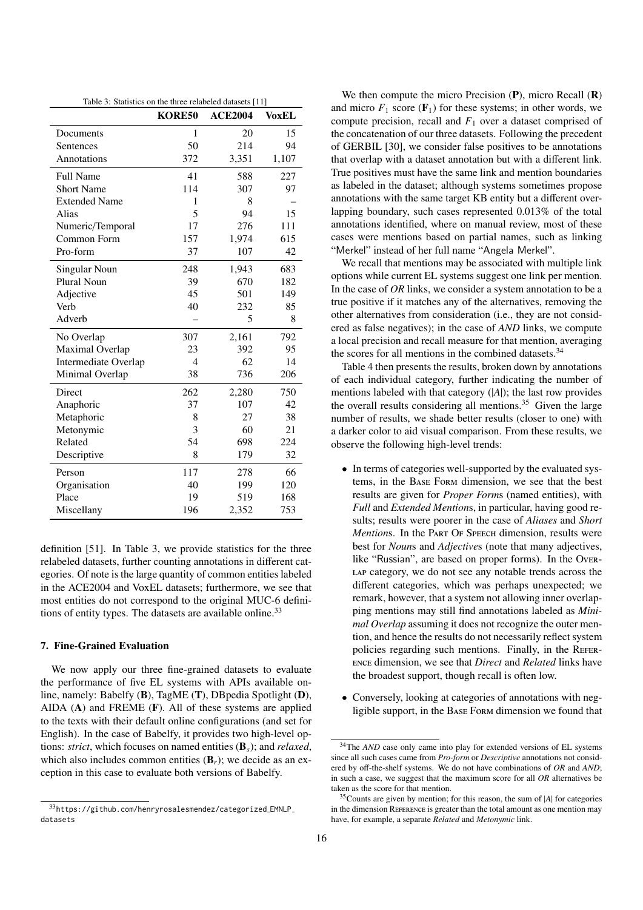| Table 3: Statistics on the three relabeled datasets [11] |        |                |              |  |  |  |  |  |  |  |  |
|----------------------------------------------------------|--------|----------------|--------------|--|--|--|--|--|--|--|--|
|                                                          | KORE50 | <b>ACE2004</b> | <b>VoxEL</b> |  |  |  |  |  |  |  |  |
| Documents                                                | 1      | 20             | 15           |  |  |  |  |  |  |  |  |
| Sentences                                                | 50     | 214            | 94           |  |  |  |  |  |  |  |  |
| Annotations                                              | 372    | 3,351          | 1,107        |  |  |  |  |  |  |  |  |
| <b>Full Name</b>                                         | 41     | 588            | 227          |  |  |  |  |  |  |  |  |
| <b>Short Name</b>                                        | 114    | 307            | 97           |  |  |  |  |  |  |  |  |
| <b>Extended Name</b>                                     | 1      | 8              |              |  |  |  |  |  |  |  |  |
| Alias                                                    | 5      | 94             | 15           |  |  |  |  |  |  |  |  |
| Numeric/Temporal                                         | 17     | 276            | 111          |  |  |  |  |  |  |  |  |
| Common Form                                              | 157    | 1,974          | 615          |  |  |  |  |  |  |  |  |
| Pro-form                                                 | 37     | 107            | 42           |  |  |  |  |  |  |  |  |
| Singular Noun                                            | 248    | 1,943          | 683          |  |  |  |  |  |  |  |  |
| Plural Noun                                              | 39     | 670            | 182          |  |  |  |  |  |  |  |  |
| Adjective                                                | 45     | 501            | 149          |  |  |  |  |  |  |  |  |
| Verb                                                     | 40     | 232            | 85           |  |  |  |  |  |  |  |  |
| Adverb                                                   |        | 5              | 8            |  |  |  |  |  |  |  |  |
| No Overlap                                               | 307    | 2,161          | 792          |  |  |  |  |  |  |  |  |
| Maximal Overlap                                          | 23     | 392            | 95           |  |  |  |  |  |  |  |  |
| Intermediate Overlap                                     | 4      | 62             | 14           |  |  |  |  |  |  |  |  |
| Minimal Overlap                                          | 38     | 736            | 206          |  |  |  |  |  |  |  |  |
| Direct                                                   | 262    | 2,280          | 750          |  |  |  |  |  |  |  |  |
| Anaphoric                                                | 37     | 107            | 42           |  |  |  |  |  |  |  |  |
| Metaphoric                                               | 8      | 27             | 38           |  |  |  |  |  |  |  |  |
| Metonymic                                                | 3      | 60             | 21           |  |  |  |  |  |  |  |  |
| Related                                                  | 54     | 698            | 224          |  |  |  |  |  |  |  |  |
| Descriptive                                              | 8      | 179            | 32           |  |  |  |  |  |  |  |  |
| Person                                                   | 117    | 278            | 66           |  |  |  |  |  |  |  |  |
| Organisation                                             | 40     | 199            | 120          |  |  |  |  |  |  |  |  |
| Place                                                    | 19     | 519            | 168          |  |  |  |  |  |  |  |  |
| Miscellany                                               | 196    | 2,352          | 753          |  |  |  |  |  |  |  |  |

definition [51]. In Table 3, we provide statistics for the three relabeled datasets, further counting annotations in different categories. Of note is the large quantity of common entities labeled in the ACE2004 and VoxEL datasets; furthermore, we see that most entities do not correspond to the original MUC-6 definitions of entity types. The datasets are available online. $33$ 

# 7. Fine-Grained Evaluation

We now apply our three fine-grained datasets to evaluate the performance of five EL systems with APIs available online, namely: Babelfy (B), TagME (T), DBpedia Spotlight (D), AIDA  $(A)$  and FREME  $(F)$ . All of these systems are applied to the texts with their default online configurations (and set for English). In the case of Babelfy, it provides two high-level options: *strict*, which focuses on named entities (B*s*); and *relaxed*, which also includes common entities  $(\mathbf{B}_r)$ ; we decide as an exception in this case to evaluate both versions of Babelfy.

We then compute the micro Precision (P), micro Recall (R) and micro  $F_1$  score  $(F_1)$  for these systems; in other words, we compute precision, recall and  $F_1$  over a dataset comprised of the concatenation of our three datasets. Following the precedent of GERBIL [30], we consider false positives to be annotations that overlap with a dataset annotation but with a different link. True positives must have the same link and mention boundaries as labeled in the dataset; although systems sometimes propose annotations with the same target KB entity but a different overlapping boundary, such cases represented 0.013% of the total annotations identified, where on manual review, most of these cases were mentions based on partial names, such as linking "Merkel" instead of her full name "Angela Merkel".

We recall that mentions may be associated with multiple link options while current EL systems suggest one link per mention. In the case of *OR* links, we consider a system annotation to be a true positive if it matches any of the alternatives, removing the other alternatives from consideration (i.e., they are not considered as false negatives); in the case of *AND* links, we compute a local precision and recall measure for that mention, averaging the scores for all mentions in the combined datasets.<sup>34</sup>

Table 4 then presents the results, broken down by annotations of each individual category, further indicating the number of mentions labeled with that category (|*A*|); the last row provides the overall results considering all mentions. $35$  Given the large number of results, we shade better results (closer to one) with a darker color to aid visual comparison. From these results, we observe the following high-level trends:

- In terms of categories well-supported by the evaluated systems, in the Base Form dimension, we see that the best results are given for *Proper Form*s (named entities), with *Full* and *Extended Mention*s, in particular, having good results; results were poorer in the case of *Aliases* and *Short Mentions*. In the PART OF SPEECH dimension, results were best for *Noun*s and *Adjective*s (note that many adjectives, like "Russian", are based on proper forms). In the Over-LAP category, we do not see any notable trends across the different categories, which was perhaps unexpected; we remark, however, that a system not allowing inner overlapping mentions may still find annotations labeled as *Minimal Overlap* assuming it does not recognize the outer mention, and hence the results do not necessarily reflect system policies regarding such mentions. Finally, in the Reference dimension, we see that *Direct* and *Related* links have the broadest support, though recall is often low.
- Conversely, looking at categories of annotations with negligible support, in the Base Form dimension we found that

<sup>33</sup>https://github.com/henryrosalesmendez/categorized EMNLP datasets

<sup>&</sup>lt;sup>34</sup>The *AND* case only came into play for extended versions of EL systems since all such cases came from *Pro-form* or *Descriptive* annotations not considered by off-the-shelf systems. We do not have combinations of *OR* and *AND*; in such a case, we suggest that the maximum score for all *OR* alternatives be taken as the score for that mention.

<sup>35</sup>Counts are given by mention; for this reason, the sum of |*A*| for categories in the dimension Reference is greater than the total amount as one mention may have, for example, a separate *Related* and *Metonymic* link.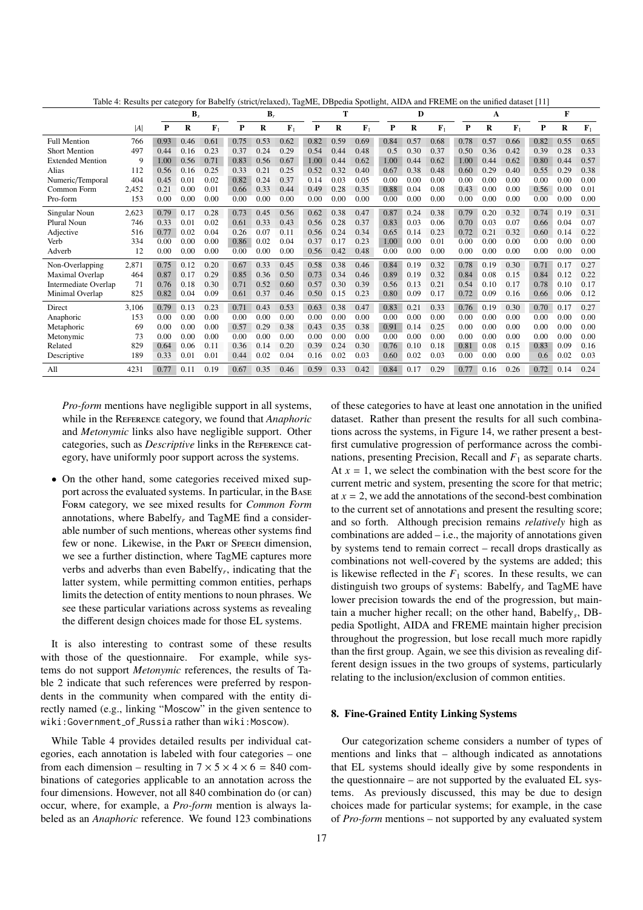|                         |       | $\mathbf{B}_{s}$ |      |                | $\mathbf{B}_r$ |      |       | T    |      |                | D    |      |                | A    |          |                | F    |          |       |
|-------------------------|-------|------------------|------|----------------|----------------|------|-------|------|------|----------------|------|------|----------------|------|----------|----------------|------|----------|-------|
|                         | A     | $\mathbf P$      | R    | F <sub>1</sub> | P              | R    | $F_1$ | P    | R    | $\mathbf{F}_1$ | P    | R    | $\mathbf{F}_1$ | P    | $\bf{R}$ | $\mathbf{F}_1$ | P    | $\bf{R}$ | $F_1$ |
| <b>Full Mention</b>     | 766   | 0.93             | 0.46 | 0.61           | 0.75           | 0.53 | 0.62  | 0.82 | 0.59 | 0.69           | 0.84 | 0.57 | 0.68           | 0.78 | 0.57     | 0.66           | 0.82 | 0.55     | 0.65  |
| <b>Short Mention</b>    | 497   | 0.44             | 0.16 | 0.23           | 0.37           | 0.24 | 0.29  | 0.54 | 0.44 | 0.48           | 0.5  | 0.30 | 0.37           | 0.50 | 0.36     | 0.42           | 0.39 | 0.28     | 0.33  |
| <b>Extended Mention</b> | 9     | 1.00             | 0.56 | 0.71           | 0.83           | 0.56 | 0.67  | 1.00 | 0.44 | 0.62           | 1.00 | 0.44 | 0.62           | 1.00 | 0.44     | 0.62           | 0.80 | 0.44     | 0.57  |
| Alias                   | 112   | 0.56             | 0.16 | 0.25           | 0.33           | 0.21 | 0.25  | 0.52 | 0.32 | 0.40           | 0.67 | 0.38 | 0.48           | 0.60 | 0.29     | 0.40           | 0.55 | 0.29     | 0.38  |
| Numeric/Temporal        | 404   | 0.45             | 0.01 | 0.02           | 0.82           | 0.24 | 0.37  | 0.14 | 0.03 | 0.05           | 0.00 | 0.00 | 0.00           | 0.00 | 0.00     | 0.00           | 0.00 | 0.00     | 0.00  |
| Common Form             | 2,452 | 0.21             | 0.00 | 0.01           | 0.66           | 0.33 | 0.44  | 0.49 | 0.28 | 0.35           | 0.88 | 0.04 | 0.08           | 0.43 | 0.00     | 0.00           | 0.56 | 0.00     | 0.01  |
| Pro-form                | 153   | 0.00             | 0.00 | 0.00           | 0.00           | 0.00 | 0.00  | 0.00 | 0.00 | 0.00           | 0.00 | 0.00 | 0.00           | 0.00 | 0.00     | 0.00           | 0.00 | 0.00     | 0.00  |
| Singular Noun           | 2,623 | 0.79             | 0.17 | 0.28           | 0.73           | 0.45 | 0.56  | 0.62 | 0.38 | 0.47           | 0.87 | 0.24 | 0.38           | 0.79 | 0.20     | 0.32           | 0.74 | 0.19     | 0.31  |
| Plural Noun             | 746   | 0.33             | 0.01 | 0.02           | 0.61           | 0.33 | 0.43  | 0.56 | 0.28 | 0.37           | 0.83 | 0.03 | 0.06           | 0.70 | 0.03     | 0.07           | 0.66 | 0.04     | 0.07  |
| Adjective               | 516   | 0.77             | 0.02 | 0.04           | 0.26           | 0.07 | 0.11  | 0.56 | 0.24 | 0.34           | 0.65 | 0.14 | 0.23           | 0.72 | 0.21     | 0.32           | 0.60 | 0.14     | 0.22  |
| Verb                    | 334   | 0.00             | 0.00 | 0.00           | 0.86           | 0.02 | 0.04  | 0.37 | 0.17 | 0.23           | 1.00 | 0.00 | 0.01           | 0.00 | 0.00     | 0.00           | 0.00 | 0.00     | 0.00  |
| Adverb                  | 12    | 0.00             | 0.00 | 0.00           | 0.00           | 0.00 | 0.00  | 0.56 | 0.42 | 0.48           | 0.00 | 0.00 | 0.00           | 0.00 | 0.00     | 0.00           | 0.00 | 0.00     | 0.00  |
| Non-Overlapping         | 2,871 | 0.75             | 0.12 | 0.20           | 0.67           | 0.33 | 0.45  | 0.58 | 0.38 | 0.46           | 0.84 | 0.19 | 0.32           | 0.78 | 0.19     | 0.30           | 0.71 | 0.17     | 0.27  |
| Maximal Overlap         | 464   | 0.87             | 0.17 | 0.29           | 0.85           | 0.36 | 0.50  | 0.73 | 0.34 | 0.46           | 0.89 | 0.19 | 0.32           | 0.84 | 0.08     | 0.15           | 0.84 | 0.12     | 0.22  |
| Intermediate Overlap    | 71    | 0.76             | 0.18 | 0.30           | 0.71           | 0.52 | 0.60  | 0.57 | 0.30 | 0.39           | 0.56 | 0.13 | 0.21           | 0.54 | 0.10     | 0.17           | 0.78 | 0.10     | 0.17  |
| Minimal Overlap         | 825   | 0.82             | 0.04 | 0.09           | 0.61           | 0.37 | 0.46  | 0.50 | 0.15 | 0.23           | 0.80 | 0.09 | 0.17           | 0.72 | 0.09     | 0.16           | 0.66 | 0.06     | 0.12  |
| Direct                  | 3,106 | 0.79             | 0.13 | 0.23           | 0.71           | 0.43 | 0.53  | 0.63 | 0.38 | 0.47           | 0.83 | 0.21 | 0.33           | 0.76 | 0.19     | 0.30           | 0.70 | 0.17     | 0.27  |
| Anaphoric               | 153   | 0.00             | 0.00 | 0.00           | 0.00           | 0.00 | 0.00  | 0.00 | 0.00 | 0.00           | 0.00 | 0.00 | 0.00           | 0.00 | 0.00     | 0.00           | 0.00 | 0.00     | 0.00  |
| Metaphoric              | 69    | 0.00             | 0.00 | 0.00           | 0.57           | 0.29 | 0.38  | 0.43 | 0.35 | 0.38           | 0.91 | 0.14 | 0.25           | 0.00 | 0.00     | 0.00           | 0.00 | 0.00     | 0.00  |
| Metonymic               | 73    | 0.00             | 0.00 | 0.00           | 0.00           | 0.00 | 0.00  | 0.00 | 0.00 | 0.00           | 0.00 | 0.00 | 0.00           | 0.00 | 0.00     | 0.00           | 0.00 | 0.00     | 0.00  |
| Related                 | 829   | 0.64             | 0.06 | 0.11           | 0.36           | 0.14 | 0.20  | 0.39 | 0.24 | 0.30           | 0.76 | 0.10 | 0.18           | 0.81 | 0.08     | 0.15           | 0.83 | 0.09     | 0.16  |
| Descriptive             | 189   | 0.33             | 0.01 | 0.01           | 0.44           | 0.02 | 0.04  | 0.16 | 0.02 | 0.03           | 0.60 | 0.02 | 0.03           | 0.00 | 0.00     | 0.00           | 0.6  | 0.02     | 0.03  |
| All                     | 4231  | 0.77             | 0.11 | 0.19           | 0.67           | 0.35 | 0.46  | 0.59 | 0.33 | 0.42           | 0.84 | 0.17 | 0.29           | 0.77 | 0.16     | 0.26           | 0.72 | 0.14     | 0.24  |

Table 4: Results per category for Babelfy (strict/relaxed), TagME, DBpedia Spotlight, AIDA and FREME on the unified dataset [11]

*Pro-form* mentions have negligible support in all systems, while in the Reference category, we found that *Anaphoric* and *Metonymic* links also have negligible support. Other categories, such as *Descriptive* links in the Reference category, have uniformly poor support across the systems.

• On the other hand, some categories received mixed support across the evaluated systems. In particular, in the Base Form category, we see mixed results for *Common Form* annotations, where Babelfy*<sup>r</sup>* and TagME find a considerable number of such mentions, whereas other systems find few or none. Likewise, in the PART OF SPEECH dimension, we see a further distinction, where TagME captures more verbs and adverbs than even Babelfy*<sup>r</sup>* , indicating that the latter system, while permitting common entities, perhaps limits the detection of entity mentions to noun phrases. We see these particular variations across systems as revealing the different design choices made for those EL systems.

It is also interesting to contrast some of these results with those of the questionnaire. For example, while systems do not support *Metonymic* references, the results of Table 2 indicate that such references were preferred by respondents in the community when compared with the entity directly named (e.g., linking "Moscow" in the given sentence to wiki:Government\_of\_Russia rather than wiki:Moscow).

While Table 4 provides detailed results per individual categories, each annotation is labeled with four categories – one from each dimension – resulting in  $7 \times 5 \times 4 \times 6 = 840$  combinations of categories applicable to an annotation across the four dimensions. However, not all 840 combination do (or can) occur, where, for example, a *Pro-form* mention is always labeled as an *Anaphoric* reference. We found 123 combinations

of these categories to have at least one annotation in the unified dataset. Rather than present the results for all such combinations across the systems, in Figure 14, we rather present a bestfirst cumulative progression of performance across the combinations, presenting Precision, Recall and  $F_1$  as separate charts. At  $x = 1$ , we select the combination with the best score for the current metric and system, presenting the score for that metric; at  $x = 2$ , we add the annotations of the second-best combination to the current set of annotations and present the resulting score; and so forth. Although precision remains *relatively* high as combinations are added – i.e., the majority of annotations given by systems tend to remain correct – recall drops drastically as combinations not well-covered by the systems are added; this is likewise reflected in the  $F_1$  scores. In these results, we can distinguish two groups of systems: Babelfy*<sup>r</sup>* and TagME have lower precision towards the end of the progression, but maintain a mucher higher recall; on the other hand, Babelfy*<sup>s</sup>* , DBpedia Spotlight, AIDA and FREME maintain higher precision throughout the progression, but lose recall much more rapidly than the first group. Again, we see this division as revealing different design issues in the two groups of systems, particularly relating to the inclusion/exclusion of common entities.

### 8. Fine-Grained Entity Linking Systems

Our categorization scheme considers a number of types of mentions and links that – although indicated as annotations that EL systems should ideally give by some respondents in the questionnaire – are not supported by the evaluated EL systems. As previously discussed, this may be due to design choices made for particular systems; for example, in the case of *Pro-form* mentions – not supported by any evaluated system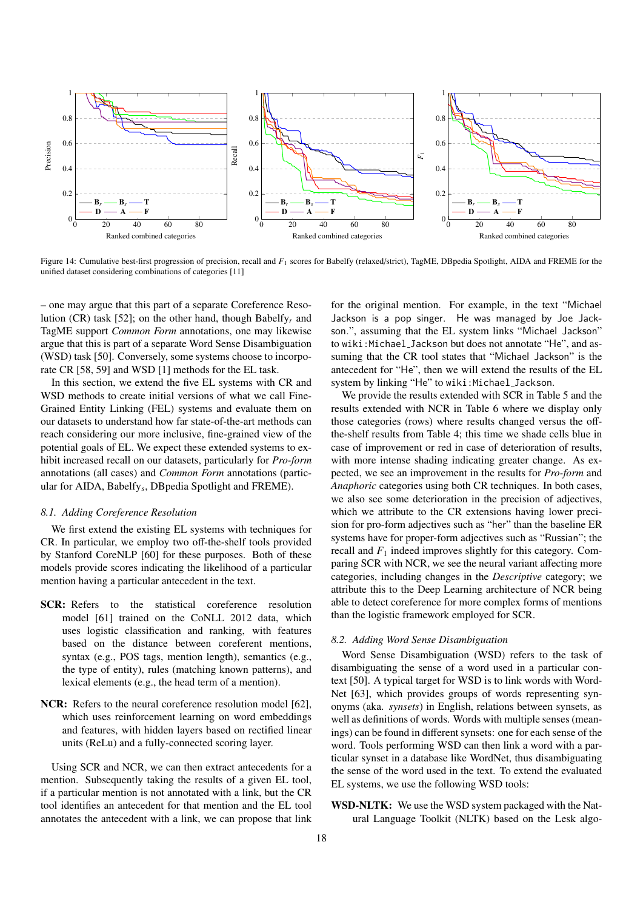

Figure 14: Cumulative best-first progression of precision, recall and  $F_1$  scores for Babelfy (relaxed/strict), TagME, DBpedia Spotlight, AIDA and FREME for the unified dataset considering combinations of categories [11]

– one may argue that this part of a separate Coreference Resolution (CR) task [52]; on the other hand, though Babelfy*<sup>r</sup>* and TagME support *Common Form* annotations, one may likewise argue that this is part of a separate Word Sense Disambiguation (WSD) task [50]. Conversely, some systems choose to incorporate CR [58, 59] and WSD [1] methods for the EL task.

In this section, we extend the five EL systems with CR and WSD methods to create initial versions of what we call Fine-Grained Entity Linking (FEL) systems and evaluate them on our datasets to understand how far state-of-the-art methods can reach considering our more inclusive, fine-grained view of the potential goals of EL. We expect these extended systems to exhibit increased recall on our datasets, particularly for *Pro-form* annotations (all cases) and *Common Form* annotations (particular for AIDA, Babelfy*<sup>s</sup>* , DBpedia Spotlight and FREME).

# *8.1. Adding Coreference Resolution*

We first extend the existing EL systems with techniques for CR. In particular, we employ two off-the-shelf tools provided by Stanford CoreNLP [60] for these purposes. Both of these models provide scores indicating the likelihood of a particular mention having a particular antecedent in the text.

- SCR: Refers to the statistical coreference resolution model [61] trained on the CoNLL 2012 data, which uses logistic classification and ranking, with features based on the distance between coreferent mentions, syntax (e.g., POS tags, mention length), semantics (e.g., the type of entity), rules (matching known patterns), and lexical elements (e.g., the head term of a mention).
- NCR: Refers to the neural coreference resolution model [62], which uses reinforcement learning on word embeddings and features, with hidden layers based on rectified linear units (ReLu) and a fully-connected scoring layer.

Using SCR and NCR, we can then extract antecedents for a mention. Subsequently taking the results of a given EL tool, if a particular mention is not annotated with a link, but the CR tool identifies an antecedent for that mention and the EL tool annotates the antecedent with a link, we can propose that link

for the original mention. For example, in the text "Michael Jackson is a pop singer. He was managed by Joe Jackson.", assuming that the EL system links "Michael Jackson" to wiki:Michael Jackson but does not annotate "He", and assuming that the CR tool states that "Michael Jackson" is the antecedent for "He", then we will extend the results of the EL system by linking "He" to wiki: Michael\_Jackson.

We provide the results extended with SCR in Table 5 and the results extended with NCR in Table 6 where we display only those categories (rows) where results changed versus the offthe-shelf results from Table 4; this time we shade cells blue in case of improvement or red in case of deterioration of results, with more intense shading indicating greater change. As expected, we see an improvement in the results for *Pro-form* and *Anaphoric* categories using both CR techniques. In both cases, we also see some deterioration in the precision of adjectives, which we attribute to the CR extensions having lower precision for pro-form adjectives such as "her" than the baseline ER systems have for proper-form adjectives such as "Russian"; the recall and  $F_1$  indeed improves slightly for this category. Comparing SCR with NCR, we see the neural variant affecting more categories, including changes in the *Descriptive* category; we attribute this to the Deep Learning architecture of NCR being able to detect coreference for more complex forms of mentions than the logistic framework employed for SCR.

# *8.2. Adding Word Sense Disambiguation*

Word Sense Disambiguation (WSD) refers to the task of disambiguating the sense of a word used in a particular context [50]. A typical target for WSD is to link words with Word-Net [63], which provides groups of words representing synonyms (aka. *synsets*) in English, relations between synsets, as well as definitions of words. Words with multiple senses (meanings) can be found in different synsets: one for each sense of the word. Tools performing WSD can then link a word with a particular synset in a database like WordNet, thus disambiguating the sense of the word used in the text. To extend the evaluated EL systems, we use the following WSD tools:

# WSD-NLTK: We use the WSD system packaged with the Natural Language Toolkit (NLTK) based on the Lesk algo-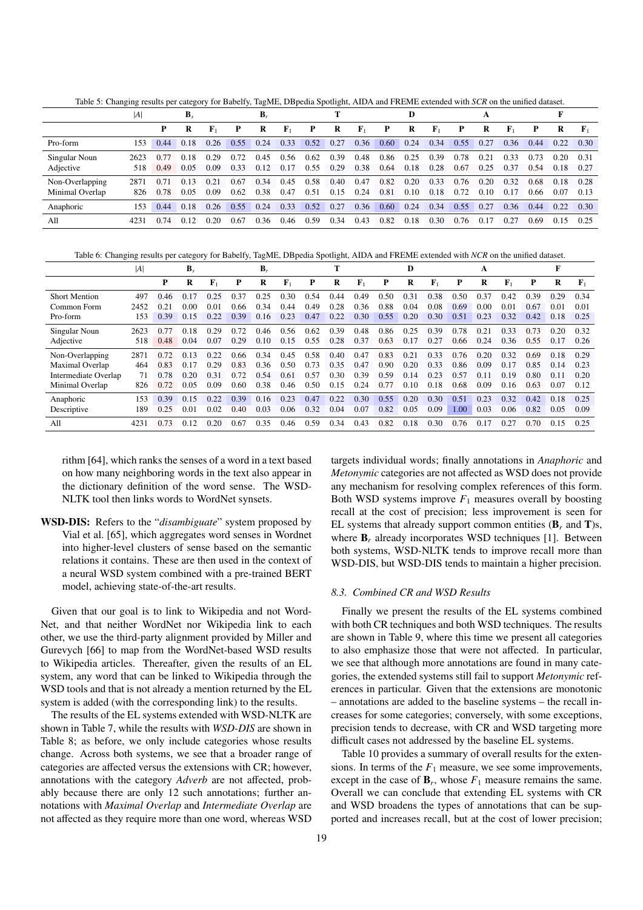Table 5: Changing results per category for Babelfy, TagME, DBpedia Spotlight, AIDA and FREME extended with *SCR* on the unified dataset.

|                                    | A           |              | $\mathbf{B}_s$ | $\mathbf{B}_r$ |              | т            |                |              | D            |              |              | A            |              |              | F            |              |              |              |                |
|------------------------------------|-------------|--------------|----------------|----------------|--------------|--------------|----------------|--------------|--------------|--------------|--------------|--------------|--------------|--------------|--------------|--------------|--------------|--------------|----------------|
|                                    |             | P            | R              | ${\bf F}_1$    | P            | R            | $\mathbf{F}_1$ | P            | R            | ${\bf F}_1$  | P            | R            | ${\bf F}_1$  | P            | R            | ${\bf F}_1$  | P            | R            | $\mathbf{F}_1$ |
| Pro-form                           | 153         | 0.44         | 0.18           | 0.26           | 0.55         | 0.24         | 0.33           | 0.52         | 0.27         | 0.36         | 0.60         | 0.24         | 0.34         | 0.55         | 0.27         | 0.36         | 0.44         | 0.22         | 0.30           |
| Singular Noun<br>Adjective         | 2623<br>518 | 0.77<br>0.49 | 0.18<br>0.05   | 0.29<br>0.09   | 0.72<br>0.33 | 0.45<br>0.12 | 0.56<br>0.17   | 0.62<br>0.55 | 0.39<br>0.29 | 0.48<br>0.38 | 0.86<br>0.64 | 0.25<br>0.18 | 0.39<br>0.28 | 0.78<br>0.67 | 0.21<br>0.25 | 0.33<br>0.37 | 0.73<br>0.54 | 0.20<br>0.18 | 0.31<br>0.27   |
| Non-Overlapping<br>Minimal Overlap | 2871<br>826 | 0.71<br>0.78 | 0.13<br>0.05   | 0.21<br>0.09   | 0.67<br>0.62 | 0.34<br>0.38 | 0.45<br>0.47   | 0.58<br>0.51 | 0.40<br>0.15 | 0.47<br>0.24 | 0.82<br>0.81 | 0.20<br>0.10 | 0.33<br>0.18 | 0.76<br>0.72 | 0.20<br>0.10 | 0.32<br>0.17 | 0.68<br>0.66 | 0.18<br>0.07 | 0.28<br>0.13   |
| Anaphoric                          | 153         | 0.44         | 0.18           | 0.26           | 0.55         | 0.24         | 0.33           | 0.52         | 0.27         | 0.36         | 0.60         | 0.24         | 0.34         | 0.55         | 0.27         | 0.36         | 0.44         | 0.22         | 0.30           |
| All                                | 4231        | 0.74         | 0.12           | 0.20           | 0.67         | 0.36         | 0.46           | 0.59         | 0.34         | 0.43         | 0.82         | 0.18         | 0.30         | 0.76         | 0.17         | 0.27         | 0.69         | 0.15         | 0.25           |

Table 6: Changing results per category for Babelfy, TagME, DBpedia Spotlight, AIDA and FREME extended with *NCR* on the unified dataset.

|                      | A    |      | $\mathbf{B}_{s}$ |                |      | $\mathbf{B}_r$ |             |      | т<br>D |                |      |      | А           |      |      |                | F    |      |             |
|----------------------|------|------|------------------|----------------|------|----------------|-------------|------|--------|----------------|------|------|-------------|------|------|----------------|------|------|-------------|
|                      |      | P    | R                | $\mathbf{F}_1$ | P    | R              | ${\bf F}_1$ | P    | R      | $\mathbf{F}_1$ | P    | R    | ${\bf F}_1$ | P    | R    | $\mathbf{F}_1$ | P    | R    | ${\bf F}_1$ |
| <b>Short Mention</b> | 497  | 0.46 | 0.17             | 0.25           | 0.37 | 0.25           | 0.30        | 0.54 | 0.44   | 0.49           | 0.50 | 0.31 | 0.38        | 0.50 | 0.37 | 0.42           | 0.39 | 0.29 | 0.34        |
| Common Form          | 2452 | 0.21 | 0.00             | 0.01           | 0.66 | 0.34           | 0.44        | 0.49 | 0.28   | 0.36           | 0.88 | 0.04 | 0.08        | 0.69 | 0.00 | 0.01           | 0.67 | 0.01 | 0.01        |
| Pro-form             | 153  | 0.39 | 0.15             | 0.22           | 0.39 | 0.16           | 0.23        | 0.47 | 0.22   | 0.30           | 0.55 | 0.20 | 0.30        | 0.51 | 0.23 | 0.32           | 0.42 | 0.18 | 0.25        |
| Singular Noun        | 2623 | 0.77 | 0.18             | 0.29           | 0.72 | 0.46           | 0.56        | 0.62 | 0.39   | 0.48           | 0.86 | 0.25 | 0.39        | 0.78 | 0.21 | 0.33           | 0.73 | 0.20 | 0.32        |
| Adjective            | 518  | 0.48 | 0.04             | 0.07           | 0.29 | 0.10           | 0.15        | 0.55 | 0.28   | 0.37           | 0.63 | 0.17 | 0.27        | 0.66 | 0.24 | 0.36           | 0.55 | 0.17 | 0.26        |
| Non-Overlapping      | 2871 | 0.72 | 0.13             | 0.22           | 0.66 | 0.34           | 0.45        | 0.58 | 0.40   | 0.47           | 0.83 | 0.21 | 0.33        | 0.76 | 0.20 | 0.32           | 0.69 | 0.18 | 0.29        |
| Maximal Overlap      | 464  | 0.83 | 0.17             | 0.29           | 0.83 | 0.36           | 0.50        | 0.73 | 0.35   | 0.47           | 0.90 | 0.20 | 0.33        | 0.86 | 0.09 | 0.17           | 0.85 | 0.14 | 0.23        |
| Intermediate Overlap |      | 0.78 | 0.20             | 0.31           | 0.72 | 0.54           | 0.61        | 0.57 | 0.30   | 0.39           | 0.59 | 0.14 | 0.23        | 0.57 | O 11 | 0.19           | 0.80 | 0.11 | 0.20        |
| Minimal Overlap      | 826  | 0.72 | 0.05             | 0.09           | 0.60 | 0.38           | 0.46        | 0.50 | 0.15   | 0.24           | 0.77 | 0.10 | 0.18        | 0.68 | 0.09 | 0.16           | 0.63 | 0.07 | 0.12        |
| Anaphoric            | 153  | 0.39 | 0.15             | 0.22           | 0.39 | 0.16           | 0.23        | 0.47 | 0.22   | 0.30           | 0.55 | 0.20 | 0.30        | 0.51 | 0.23 | 0.32           | 0.42 | 0.18 | 0.25        |
| Descriptive          | 189  | 0.25 | 0.01             | 0.02           | 0.40 | 0.03           | 0.06        | 0.32 | 0.04   | 0.07           | 0.82 | 0.05 | 0.09        | 1.00 | 0.03 | 0.06           | 0.82 | 0.05 | 0.09        |
| All                  | 4231 | 0.73 | 0.12             | 0.20           | 0.67 | 0.35           | 0.46        | 0.59 | 0.34   | 0.43           | 0.82 | 0.18 | 0.30        | 0.76 | 0.17 | 0.27           | 0.70 | 0.15 | 0.25        |

rithm [64], which ranks the senses of a word in a text based on how many neighboring words in the text also appear in the dictionary definition of the word sense. The WSD-NLTK tool then links words to WordNet synsets.

WSD-DIS: Refers to the "*disambiguate*" system proposed by Vial et al. [65], which aggregates word senses in Wordnet into higher-level clusters of sense based on the semantic relations it contains. These are then used in the context of a neural WSD system combined with a pre-trained BERT model, achieving state-of-the-art results.

Given that our goal is to link to Wikipedia and not Word-Net, and that neither WordNet nor Wikipedia link to each other, we use the third-party alignment provided by Miller and Gurevych [66] to map from the WordNet-based WSD results to Wikipedia articles. Thereafter, given the results of an EL system, any word that can be linked to Wikipedia through the WSD tools and that is not already a mention returned by the EL system is added (with the corresponding link) to the results.

The results of the EL systems extended with WSD-NLTK are shown in Table 7, while the results with *WSD-DIS* are shown in Table 8; as before, we only include categories whose results change. Across both systems, we see that a broader range of categories are affected versus the extensions with CR; however, annotations with the category *Adverb* are not affected, probably because there are only 12 such annotations; further annotations with *Maximal Overlap* and *Intermediate Overlap* are not affected as they require more than one word, whereas WSD

targets individual words; finally annotations in *Anaphoric* and *Metonymic* categories are not affected as WSD does not provide any mechanism for resolving complex references of this form. Both WSD systems improve  $F_1$  measures overall by boosting recall at the cost of precision; less improvement is seen for EL systems that already support common entities  $(B_r \text{ and } T)$ s, where  $B_r$  already incorporates WSD techniques [1]. Between both systems, WSD-NLTK tends to improve recall more than WSD-DIS, but WSD-DIS tends to maintain a higher precision.

### *8.3. Combined CR and WSD Results*

Finally we present the results of the EL systems combined with both CR techniques and both WSD techniques. The results are shown in Table 9, where this time we present all categories to also emphasize those that were not affected. In particular, we see that although more annotations are found in many categories, the extended systems still fail to support *Metonymic* references in particular. Given that the extensions are monotonic – annotations are added to the baseline systems – the recall increases for some categories; conversely, with some exceptions, precision tends to decrease, with CR and WSD targeting more difficult cases not addressed by the baseline EL systems.

Table 10 provides a summary of overall results for the extensions. In terms of the  $F_1$  measure, we see some improvements, except in the case of  $\mathbf{B}_r$ , whose  $F_1$  measure remains the same. Overall we can conclude that extending EL systems with CR and WSD broadens the types of annotations that can be supported and increases recall, but at the cost of lower precision;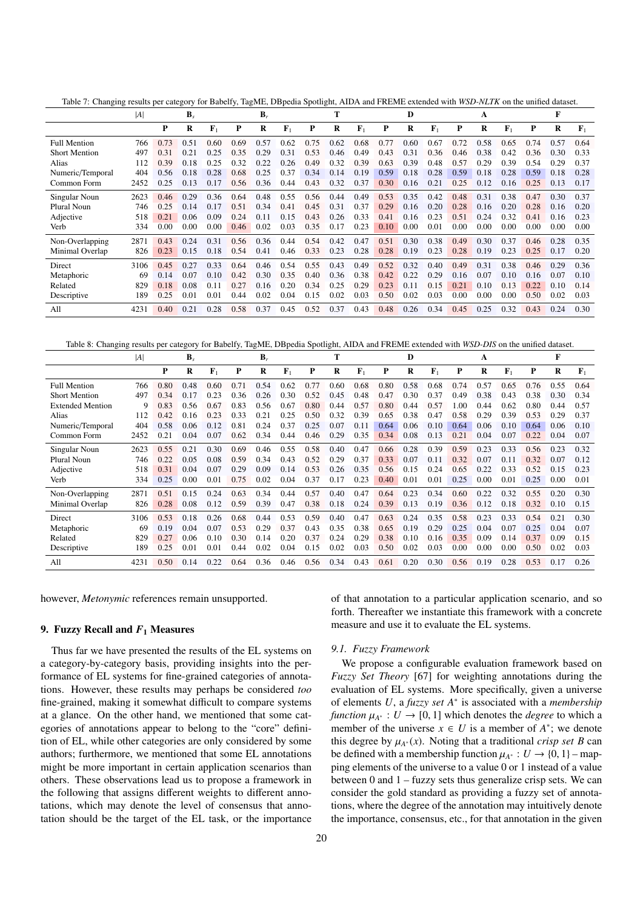|                      | A    |      | $\mathbf{B}_{s}$ |                |      | $\mathbf{B}_r$ |             |      | Т    |             |      | D    |             |      | A    |             |      | F    |             |
|----------------------|------|------|------------------|----------------|------|----------------|-------------|------|------|-------------|------|------|-------------|------|------|-------------|------|------|-------------|
|                      |      | P    | R                | $\mathbf{F}_1$ | P    | R              | ${\bf F}_1$ | P    | R    | ${\bf F}_1$ | P    | R    | ${\bf F}_1$ | P    | R    | ${\bf F}_1$ | P    | R    | ${\bf F}_1$ |
| <b>Full Mention</b>  | 766  | 0.73 | 0.51             | 0.60           | 0.69 | 0.57           | 0.62        | 0.75 | 0.62 | 0.68        | 0.77 | 0.60 | 0.67        | 0.72 | 0.58 | 0.65        | 0.74 | 0.57 | 0.64        |
| <b>Short Mention</b> | 497  | 0.31 | 0.21             | 0.25           | 0.35 | 0.29           | 0.31        | 0.53 | 0.46 | 0.49        | 0.43 | 0.31 | 0.36        | 0.46 | 0.38 | 0.42        | 0.36 | 0.30 | 0.33        |
| Alias                | 112  | 0.39 | 0.18             | 0.25           | 0.32 | 0.22           | 0.26        | 0.49 | 0.32 | 0.39        | 0.63 | 0.39 | 0.48        | 0.57 | 0.29 | 0.39        | 0.54 | 0.29 | 0.37        |
| Numeric/Temporal     | 404  | 0.56 | 0.18             | 0.28           | 0.68 | 0.25           | 0.37        | 0.34 | 0.14 | 0.19        | 0.59 | 0.18 | 0.28        | 0.59 | 0.18 | 0.28        | 0.59 | 0.18 | 0.28        |
| Common Form          | 2452 | 0.25 | 0.13             | 0.17           | 0.56 | 0.36           | 0.44        | 0.43 | 0.32 | 0.37        | 0.30 | 0.16 | 0.21        | 0.25 | 0.12 | 0.16        | 0.25 | 0.13 | 0.17        |
| Singular Noun        | 2623 | 0.46 | 0.29             | 0.36           | 0.64 | 0.48           | 0.55        | 0.56 | 0.44 | 0.49        | 0.53 | 0.35 | 0.42        | 0.48 | 0.31 | 0.38        | 0.47 | 0.30 | 0.37        |
| Plural Noun          | 746  | 0.25 | 0.14             | 0.17           | 0.51 | 0.34           | 0.41        | 0.45 | 0.31 | 0.37        | 0.29 | 0.16 | 0.20        | 0.28 | 0.16 | 0.20        | 0.28 | 0.16 | 0.20        |
| Adjective            | 518  | 0.21 | 0.06             | 0.09           | 0.24 | 0.11           | 0.15        | 0.43 | 0.26 | 0.33        | 0.41 | 0.16 | 0.23        | 0.51 | 0.24 | 0.32        | 0.41 | 0.16 | 0.23        |
| Verb                 | 334  | 0.00 | 0.00             | 0.00           | 0.46 | 0.02           | 0.03        | 0.35 | 0.17 | 0.23        | 0.10 | 0.00 | 0.01        | 0.00 | 0.00 | 0.00        | 0.00 | 0.00 | 0.00        |
| Non-Overlapping      | 2871 | 0.43 | 0.24             | 0.31           | 0.56 | 0.36           | 0.44        | 0.54 | 0.42 | 0.47        | 0.51 | 0.30 | 0.38        | 0.49 | 0.30 | 0.37        | 0.46 | 0.28 | 0.35        |
| Minimal Overlap      | 826  | 0.23 | 0.15             | 0.18           | 0.54 | 0.41           | 0.46        | 0.33 | 0.23 | 0.28        | 0.28 | 0.19 | 0.23        | 0.28 | 0.19 | 0.23        | 0.25 | 0.17 | 0.20        |
| Direct               | 3106 | 0.45 | 0.27             | 0.33           | 0.64 | 0.46           | 0.54        | 0.55 | 0.43 | 0.49        | 0.52 | 0.32 | 0.40        | 0.49 | 0.31 | 0.38        | 0.46 | 0.29 | 0.36        |
| Metaphoric           | 69   | 0.14 | 0.07             | 0.10           | 0.42 | 0.30           | 0.35        | 0.40 | 0.36 | 0.38        | 0.42 | 0.22 | 0.29        | 0.16 | 0.07 | 0.10        | 0.16 | 0.07 | 0.10        |
| Related              | 829  | 0.18 | 0.08             | 0.11           | 0.27 | 0.16           | 0.20        | 0.34 | 0.25 | 0.29        | 0.23 | 0.11 | 0.15        | 0.21 | 0.10 | 0.13        | 0.22 | 0.10 | 0.14        |
| Descriptive          | 189  | 0.25 | 0.01             | 0.01           | 0.44 | 0.02           | 0.04        | 0.15 | 0.02 | 0.03        | 0.50 | 0.02 | 0.03        | 0.00 | 0.00 | 0.00        | 0.50 | 0.02 | 0.03        |
| All                  | 4231 | 0.40 | 0.21             | 0.28           | 0.58 | 0.37           | 0.45        | 0.52 | 0.37 | 0.43        | 0.48 | 0.26 | 0.34        | 0.45 | 0.25 | 0.32        | 0.43 | 0.24 | 0.30        |

Table 7: Changing results per category for Babelfy, TagME, DBpedia Spotlight, AIDA and FREME extended with *WSD-NLTK* on the unified dataset.

Table 8: Changing results per category for Babelfy, TagME, DBpedia Spotlight, AIDA and FREME extended with *WSD-DIS* on the unified dataset.

|                         | A    |      | $\mathbf{B}_s$ |                |      | $\mathbf{B}_r$ |                |      | Т    |             |      | D    |             |       | A    |             |      | F    |             |
|-------------------------|------|------|----------------|----------------|------|----------------|----------------|------|------|-------------|------|------|-------------|-------|------|-------------|------|------|-------------|
|                         |      | P    | R              | $\mathbf{F}_1$ | P    | R              | $\mathbf{F}_1$ | P    | R    | ${\bf F}_1$ | P    | R    | ${\bf F}_1$ | P     | R    | ${\bf F}_1$ | P    | R    | ${\bf F}_1$ |
| <b>Full Mention</b>     | 766  | 0.80 | 0.48           | 0.60           | 0.71 | 0.54           | 0.62           | 0.77 | 0.60 | 0.68        | 0.80 | 0.58 | 0.68        | 0.74  | 0.57 | 0.65        | 0.76 | 0.55 | 0.64        |
| <b>Short Mention</b>    | 497  | 0.34 | 0.17           | 0.23           | 0.36 | 0.26           | 0.30           | 0.52 | 0.45 | 0.48        | 0.47 | 0.30 | 0.37        | 0.49  | 0.38 | 0.43        | 0.38 | 0.30 | 0.34        |
| <b>Extended Mention</b> | 9    | 0.83 | 0.56           | 0.67           | 0.83 | 0.56           | 0.67           | 0.80 | 0.44 | 0.57        | 0.80 | 0.44 | 0.57        | 0.001 | 0.44 | 0.62        | 0.80 | 0.44 | 0.57        |
| Alias                   | 112  | 0.42 | 0.16           | 0.23           | 0.33 | 0.21           | 0.25           | 0.50 | 0.32 | 0.39        | 0.65 | 0.38 | 0.47        | 0.58  | 0.29 | 0.39        | 0.53 | 0.29 | 0.37        |
| Numeric/Temporal        | 404  | 0.58 | 0.06           | 0.12           | 0.81 | 0.24           | 0.37           | 0.25 | 0.07 | 0.11        | 0.64 | 0.06 | 0.10        | 0.64  | 0.06 | 0.10        | 0.64 | 0.06 | 0.10        |
| Common Form             | 2452 | 0.21 | 0.04           | 0.07           | 0.62 | 0.34           | 0.44           | 0.46 | 0.29 | 0.35        | 0.34 | 0.08 | 0.13        | 0.21  | 0.04 | 0.07        | 0.22 | 0.04 | 0.07        |
| Singular Noun           | 2623 | 0.55 | 0.21           | 0.30           | 0.69 | 0.46           | 0.55           | 0.58 | 0.40 | 0.47        | 0.66 | 0.28 | 0.39        | 0.59  | 0.23 | 0.33        | 0.56 | 0.23 | 0.32        |
| Plural Noun             | 746  | 0.22 | 0.05           | 0.08           | 0.59 | 0.34           | 0.43           | 0.52 | 0.29 | 0.37        | 0.33 | 0.07 | 0.11        | 0.32  | 0.07 | 0.11        | 0.32 | 0.07 | 0.12        |
| Adjective               | 518  | 0.31 | 0.04           | 0.07           | 0.29 | 0.09           | 0.14           | 0.53 | 0.26 | 0.35        | 0.56 | 0.15 | 0.24        | 0.65  | 0.22 | 0.33        | 0.52 | 0.15 | 0.23        |
| Verb                    | 334  | 0.25 | 0.00           | 0.01           | 0.75 | 0.02           | 0.04           | 0.37 | 0.17 | 0.23        | 0.40 | 0.01 | 0.01        | 0.25  | 0.00 | 0.01        | 0.25 | 0.00 | 0.01        |
| Non-Overlapping         | 2871 | 0.51 | 0.15           | 0.24           | 0.63 | 0.34           | 0.44           | 0.57 | 0.40 | 0.47        | 0.64 | 0.23 | 0.34        | 0.60  | 0.22 | 0.32        | 0.55 | 0.20 | 0.30        |
| Minimal Overlap         | 826  | 0.28 | 0.08           | 0.12           | 0.59 | 0.39           | 0.47           | 0.38 | 0.18 | 0.24        | 0.39 | 0.13 | 0.19        | 0.36  | 0.12 | 0.18        | 0.32 | 0.10 | 0.15        |
| Direct                  | 3106 | 0.53 | 0.18           | 0.26           | 0.68 | 0.44           | 0.53           | 0.59 | 0.40 | 0.47        | 0.63 | 0.24 | 0.35        | 0.58  | 0.23 | 0.33        | 0.54 | 0.21 | 0.30        |
| Metaphoric              | 69   | 0.19 | 0.04           | 0.07           | 0.53 | 0.29           | 0.37           | 0.43 | 0.35 | 0.38        | 0.65 | 0.19 | 0.29        | 0.25  | 0.04 | 0.07        | 0.25 | 0.04 | 0.07        |
| Related                 | 829  | 0.27 | 0.06           | 0.10           | 0.30 | 0.14           | 0.20           | 0.37 | 0.24 | 0.29        | 0.38 | 0.10 | 0.16        | 0.35  | 0.09 | 0.14        | 0.37 | 0.09 | 0.15        |
| Descriptive             | 189  | 0.25 | 0.01           | 0.01           | 0.44 | 0.02           | 0.04           | 0.15 | 0.02 | 0.03        | 0.50 | 0.02 | 0.03        | 0.00  | 0.00 | 0.00        | 0.50 | 0.02 | 0.03        |
| All                     | 4231 | 0.50 | 0.14           | 0.22           | 0.64 | 0.36           | 0.46           | 0.56 | 0.34 | 0.43        | 0.61 | 0.20 | 0.30        | 0.56  | 0.19 | 0.28        | 0.53 | 0.17 | 0.26        |

however, *Metonymic* references remain unsupported.

#### 9. Fuzzy Recall and *F*<sup>1</sup> Measures

Thus far we have presented the results of the EL systems on a category-by-category basis, providing insights into the performance of EL systems for fine-grained categories of annotations. However, these results may perhaps be considered *too* fine-grained, making it somewhat difficult to compare systems at a glance. On the other hand, we mentioned that some categories of annotations appear to belong to the "core" definition of EL, while other categories are only considered by some authors; furthermore, we mentioned that some EL annotations might be more important in certain application scenarios than others. These observations lead us to propose a framework in the following that assigns different weights to different annotations, which may denote the level of consensus that annotation should be the target of the EL task, or the importance of that annotation to a particular application scenario, and so forth. Thereafter we instantiate this framework with a concrete measure and use it to evaluate the EL systems.

### *9.1. Fuzzy Framework*

We propose a configurable evaluation framework based on *Fuzzy Set Theory* [67] for weighting annotations during the evaluation of EL systems. More specifically, given a universe of elements *U*, a *fuzzy set A*<sup>∗</sup> is associated with a *membership function*  $\mu_{A^*}: U \to [0, 1]$  which denotes the *degree* to which a member of the universe  $x \in U$  is a member of  $A^*$ ; we denote this degree by  $\mu_{A^*}(x)$ . Noting that a traditional *crisp set B* can be defined with a membership function  $\mu_{A^*}: U \to \{0, 1\}$  – mapping elements of the universe to a value 0 or 1 instead of a value between 0 and 1 – fuzzy sets thus generalize crisp sets. We can consider the gold standard as providing a fuzzy set of annotations, where the degree of the annotation may intuitively denote the importance, consensus, etc., for that annotation in the given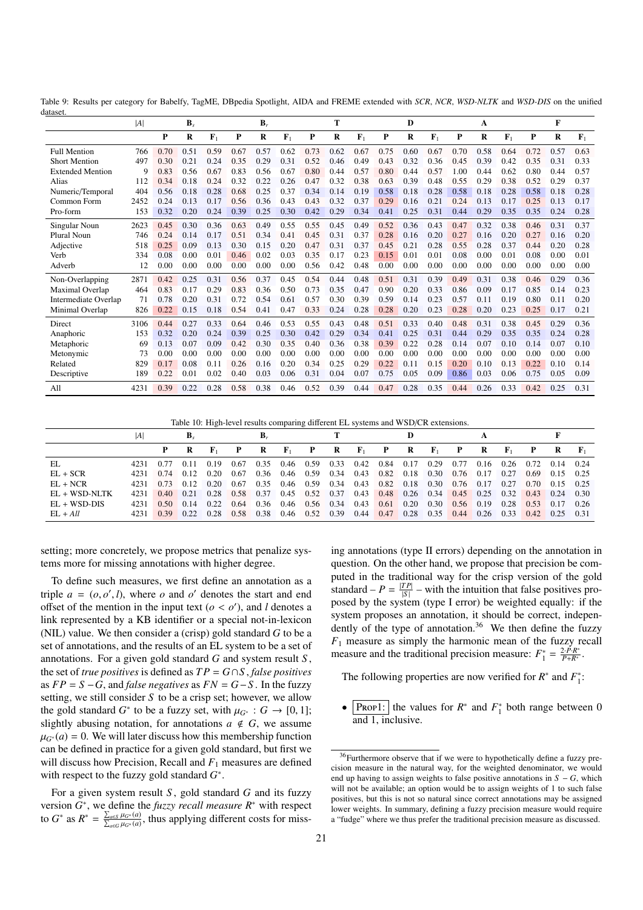|                         | A    |      | $\mathbf{B}_{s}$ |                |      | $\mathbf{B}_r$ |                |      | т    |                |      | D           |                |      | A           |                |      | F           |             |
|-------------------------|------|------|------------------|----------------|------|----------------|----------------|------|------|----------------|------|-------------|----------------|------|-------------|----------------|------|-------------|-------------|
|                         |      | P    | $\bf{R}$         | $\mathbf{F}_1$ | P    | $\mathbf R$    | $\mathbf{F}_1$ | P    | R    | $\mathbf{F}_1$ | P    | $\mathbf R$ | $\mathbf{F}_1$ | P    | $\mathbf R$ | $\mathbf{F}_1$ | P    | $\mathbf R$ | ${\bf F}_1$ |
| <b>Full Mention</b>     | 766  | 0.70 | 0.51             | 0.59           | 0.67 | 0.57           | 0.62           | 0.73 | 0.62 | 0.67           | 0.75 | 0.60        | 0.67           | 0.70 | 0.58        | 0.64           | 0.72 | 0.57        | 0.63        |
| <b>Short Mention</b>    | 497  | 0.30 | 0.21             | 0.24           | 0.35 | 0.29           | 0.31           | 0.52 | 0.46 | 0.49           | 0.43 | 0.32        | 0.36           | 0.45 | 0.39        | 0.42           | 0.35 | 0.31        | 0.33        |
| <b>Extended Mention</b> | q    | 0.83 | 0.56             | 0.67           | 0.83 | 0.56           | 0.67           | 0.80 | 0.44 | 0.57           | 0.80 | 0.44        | 0.57           | 1.00 | 0.44        | 0.62           | 0.80 | 0.44        | 0.57        |
| Alias                   | 112  | 0.34 | 0.18             | 0.24           | 0.32 | 0.22           | 0.26           | 0.47 | 0.32 | 0.38           | 0.63 | 0.39        | 0.48           | 0.55 | 0.29        | 0.38           | 0.52 | 0.29        | 0.37        |
| Numeric/Temporal        | 404  | 0.56 | 0.18             | 0.28           | 0.68 | 0.25           | 0.37           | 0.34 | 0.14 | 0.19           | 0.58 | 0.18        | 0.28           | 0.58 | 0.18        | 0.28           | 0.58 | 0.18        | 0.28        |
| Common Form             | 2452 | 0.24 | 0.13             | 0.17           | 0.56 | 0.36           | 0.43           | 0.43 | 0.32 | 0.37           | 0.29 | 0.16        | 0.21           | 0.24 | 0.13        | 0.17           | 0.25 | 0.13        | 0.17        |
| Pro-form                | 153  | 0.32 | 0.20             | 0.24           | 0.39 | 0.25           | 0.30           | 0.42 | 0.29 | 0.34           | 0.41 | 0.25        | 0.31           | 0.44 | 0.29        | 0.35           | 0.35 | 0.24        | 0.28        |
| Singular Noun           | 2623 | 0.45 | 0.30             | 0.36           | 0.63 | 0.49           | 0.55           | 0.55 | 0.45 | 0.49           | 0.52 | 0.36        | 0.43           | 0.47 | 0.32        | 0.38           | 0.46 | 0.31        | 0.37        |
| Plural Noun             | 746  | 0.24 | 0.14             | 0.17           | 0.51 | 0.34           | 0.41           | 0.45 | 0.31 | 0.37           | 0.28 | 0.16        | 0.20           | 0.27 | 0.16        | 0.20           | 0.27 | 0.16        | 0.20        |
| Adjective               | 518  | 0.25 | 0.09             | 0.13           | 0.30 | 0.15           | 0.20           | 0.47 | 0.31 | 0.37           | 0.45 | 0.21        | 0.28           | 0.55 | 0.28        | 0.37           | 0.44 | 0.20        | 0.28        |
| Verb                    | 334  | 0.08 | 0.00             | 0.01           | 0.46 | 0.02           | 0.03           | 0.35 | 0.17 | 0.23           | 0.15 | 0.01        | 0.01           | 0.08 | 0.00        | 0.01           | 0.08 | 0.00        | 0.01        |
| Adverb                  | 12   | 0.00 | 0.00             | 0.00           | 0.00 | 0.00           | 0.00           | 0.56 | 0.42 | 0.48           | 0.00 | 0.00        | 0.00           | 0.00 | 0.00        | 0.00           | 0.00 | 0.00        | 0.00        |
| Non-Overlapping         | 2871 | 0.42 | 0.25             | 0.31           | 0.56 | 0.37           | 0.45           | 0.54 | 0.44 | 0.48           | 0.51 | 0.31        | 0.39           | 0.49 | 0.31        | 0.38           | 0.46 | 0.29        | 0.36        |
| Maximal Overlap         | 464  | 0.83 | 0.17             | 0.29           | 0.83 | 0.36           | 0.50           | 0.73 | 0.35 | 0.47           | 0.90 | 0.20        | 0.33           | 0.86 | 0.09        | 0.17           | 0.85 | 0.14        | 0.23        |
| Intermediate Overlap    | 71   | 0.78 | 0.20             | 0.31           | 0.72 | 0.54           | 0.61           | 0.57 | 0.30 | 0.39           | 0.59 | 0.14        | 0.23           | 0.57 | 0.11        | 0.19           | 0.80 | 0.11        | 0.20        |
| Minimal Overlap         | 826  | 0.22 | 0.15             | 0.18           | 0.54 | 0.41           | 0.47           | 0.33 | 0.24 | 0.28           | 0.28 | 0.20        | 0.23           | 0.28 | 0.20        | 0.23           | 0.25 | 0.17        | 0.21        |
| Direct                  | 3106 | 0.44 | 0.27             | 0.33           | 0.64 | 0.46           | 0.53           | 0.55 | 0.43 | 0.48           | 0.51 | 0.33        | 0.40           | 0.48 | 0.31        | 0.38           | 0.45 | 0.29        | 0.36        |
| Anaphoric               | 153  | 0.32 | 0.20             | 0.24           | 0.39 | 0.25           | 0.30           | 0.42 | 0.29 | 0.34           | 0.41 | 0.25        | 0.31           | 0.44 | 0.29        | 0.35           | 0.35 | 0.24        | 0.28        |
| Metaphoric              | 69   | 0.13 | 0.07             | 0.09           | 0.42 | 0.30           | 0.35           | 0.40 | 0.36 | 0.38           | 0.39 | 0.22        | 0.28           | 0.14 | 0.07        | 0.10           | 0.14 | 0.07        | 0.10        |
| Metonymic               | 73   | 0.00 | 0.00             | 0.00           | 0.00 | 0.00           | 0.00           | 0.00 | 0.00 | 0.00           | 0.00 | 0.00        | 0.00           | 0.00 | 0.00        | 0.00           | 0.00 | 0.00        | 0.00        |
| Related                 | 829  | 0.17 | 0.08             | 0.11           | 0.26 | 0.16           | 0.20           | 0.34 | 0.25 | 0.29           | 0.22 | 0.11        | 0.15           | 0.20 | 0.10        | 0.13           | 0.22 | 0.10        | 0.14        |
| Descriptive             | 189  | 0.22 | 0.01             | 0.02           | 0.40 | 0.03           | 0.06           | 0.31 | 0.04 | 0.07           | 0.75 | 0.05        | 0.09           | 0.86 | 0.03        | 0.06           | 0.75 | 0.05        | 0.09        |
| All                     | 4231 | 0.39 | 0.22             | 0.28           | 0.58 | 0.38           | 0.46           | 0.52 | 0.39 | 0.44           | 0.47 | 0.28        | 0.35           | 0.44 | 0.26        | 0.33           | 0.42 | 0.25        | 0.31        |

Table 9: Results per category for Babelfy, TagME, DBpedia Spotlight, AIDA and FREME extended with *SCR*, *NCR*, *WSD-NLTK* and *WSD-DIS* on the unified dataset

Table 10: High-level results comparing different EL systems and WSD/CR extensions.

|                 | ΙAΙ  |      |                 |                             |              |      |                |              |      |                                          |      |                             |      |              |      |                |              |      |                |
|-----------------|------|------|-----------------|-----------------------------|--------------|------|----------------|--------------|------|------------------------------------------|------|-----------------------------|------|--------------|------|----------------|--------------|------|----------------|
|                 |      | P    |                 | $\mathbf{R} = \mathbf{F}_1$ | $\mathbf{P}$ | R    | $\mathbf{F}_1$ | $\mathbf{P}$ |      | $\mathbf{R}$ $\mathbf{F}_1$ $\mathbf{P}$ |      | $\mathbf{R}$ $\mathbf{F}_1$ |      | $\mathbf{P}$ | R    | $\mathbf{F}_1$ | $\mathbf{P}$ | R    | $\mathbf{F}_1$ |
| EI.             | 4231 | 0.77 | 0.11            | 0.19                        | 0.67         | 0.35 | 0.46           | 0.59         | 0.33 | 0.42                                     | 0.84 | 0.17                        | 0.29 | 0.77         | 0.16 | 0.26           | 0.72         | 0.14 | 0.24           |
| $EL + SCR$      | 4231 | 0.74 | 0.12            | 0.20                        | 0.67         | 0.36 | 0.46           | 0.59         | 0.34 | 0.43                                     | 0.82 | 0.18                        | 0.30 | 0.76         | 0.17 | 0.27           | 0.69         | 0.15 | 0.25           |
| $EL + NCR$      | 4231 | 0.73 | 0.12            | 0.20                        | 0.67         | 0.35 | 0.46           | 0.59         | 0.34 | 0.43                                     | 0.82 | 0.18                        | 0.30 | 0.76         | 0.17 | 0.27           | 0.70         | 0.15 | 0.25           |
| $EL + WSD-NLTE$ | 4231 | 0.40 | 0.21            | 0.28                        | 0.58         | 0.37 | 0.45           | 0.52         | 0.37 | 0.43                                     | 0.48 | 0.26                        | 0.34 | $0.45$ .     | 0.25 | 0.32           | 0.43         | 0.24 | 0.30           |
| $EL + WSD-DIS$  | 4231 | 0.50 | 0 <sup>14</sup> | 0.22                        | 0.64         | 0.36 | 0.46           | 0.56         | 0.34 | 0.43                                     | 0.61 | 0.20                        | 0.30 | 0.56         | 0.19 | 0.28           | 0.53         | 0.17 | 0.26           |
| $EL + All$      | 4231 | 0.39 | 0.22            | 0.28                        | 0.58         | 0.38 | 0.46           | 0.52         | 0.39 | 0.44                                     | 0.47 | 0.28                        | 0.35 | 0.44         | 0.26 | 0.33           | 0.42         | 0.25 | 0.31           |

setting; more concretely, we propose metrics that penalize systems more for missing annotations with higher degree.

To define such measures, we first define an annotation as a triple  $a = (o, o', l)$ , where *o* and *o'* denotes the start and end<br>offset of the mention in the input text  $(a < o')$  and *l* denotes a offset of the mention in the input text  $(o < o')$ , and *l* denotes a<br>link represented by a KB identifier or a special not-in-lexicon link represented by a KB identifier or a special not-in-lexicon (NIL) value. We then consider a (crisp) gold standard *G* to be a set of annotations, and the results of an EL system to be a set of annotations. For a given gold standard *G* and system result *S* , the set of *true positives* is defined as  $TP = G \cap S$ , *false positives* as  $FP = S - G$ , and *false negatives* as  $FN = G - S$ . In the fuzzy setting, we still consider *S* to be a crisp set; however, we allow the gold standard *G*<sup>∗</sup> to be a fuzzy set, with  $\mu_{G^*}: G \to [0, 1]$ ;<br>slightly abusing notation, for annotations *a* **4** *G*, we assume slightly abusing notation, for annotations  $a \notin G$ , we assume  $\mu_{G^*}(a) = 0$ . We will later discuss how this membership function can be defined in practice for a given gold standard, but first we will discuss how Precision, Recall and  $F_1$  measures are defined with respect to the fuzzy gold standard *G* ∗ .

For a given system result *S* , gold standard *G* and its fuzzy version *G* ∗ , we define the *fuzzy recall measure R*<sup>∗</sup> with respect to *G*<sup>\*</sup> as  $R^* = \frac{\sum_{a \in S} \mu_G \ast (a)}{\sum_{a \in G} \mu_G \ast (a)}$ , thus applying different costs for missing annotations (type II errors) depending on the annotation in question. On the other hand, we propose that precision be computed in the traditional way for the crisp version of the gold standard –  $P = \frac{|TP|}{|S|}$  – with the intuition that false positives proposed by the system (type I error) be weighted equally: if the system proposes an annotation, it should be correct, independently of the type of annotation.<sup>36</sup> We then define the fuzzy  $F_1$  measure as simply the harmonic mean of the fuzzy recall measure and the traditional precision measure:  $F_1^* = \frac{2 \cdot \vec{P} \cdot R^*}{P + R^*}$ .

The following properties are now verified for  $R^*$  and  $F_1^*$ :

• **Prop1:** the values for  $R^*$  and  $F_1^*$  both range between 0 and 1, inclusive.

<sup>&</sup>lt;sup>36</sup>Furthermore observe that if we were to hypothetically define a fuzzy precision measure in the natural way, for the weighted denominator, we would end up having to assign weights to false positive annotations in  $S - G$ , which will not be available; an option would be to assign weights of 1 to such false positives, but this is not so natural since correct annotations may be assigned lower weights. In summary, defining a fuzzy precision measure would require a "fudge" where we thus prefer the traditional precision measure as discussed.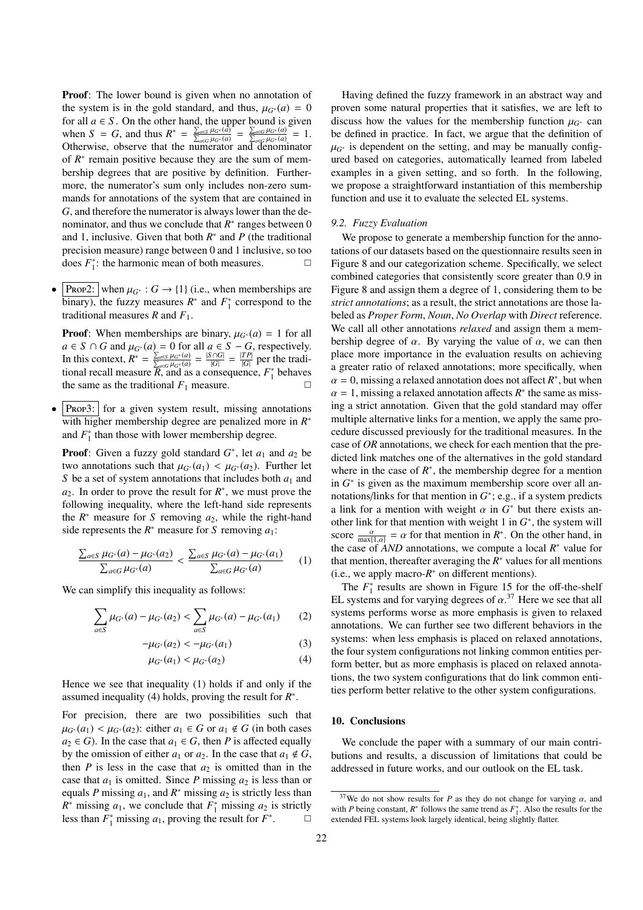**Proof:** The lower bound is given when no annotation of the system is in the gold standard, and thus,  $\mu_{G^*}(a) = 0$ for all  $a \in S$ . On the other hand, the upper bound is given when  $S = G$ , and thus  $R^* = \frac{\sum_{a \in S} \mu_G^*(a)}{\sum_{a \in G} \mu_G^*(a)} = \frac{\sum_{a \in G} \mu_G^*(a)}{\sum_{a \in G} \mu_G^*(a)} = 1$ . Otherwise, observe that the numerator and denominator of  $R^*$  remain positive because they are the sum of membership degrees that are positive by definition. Furthermore, the numerator's sum only includes non-zero summands for annotations of the system that are contained in *G*, and therefore the numerator is always lower than the denominator, and thus we conclude that  $R^*$  ranges between 0 and 1, inclusive. Given that both  $R^*$  and  $P$  (the traditional precision measure) range between 0 and 1 inclusive, so too does  $F_1^*$ : the harmonic mean of both measures.  $\Box$ 

PROP2: when  $\mu_{G^*}: G \to \{1\}$  (i.e., when memberships are  $\overline{binary}$ , the fuzzy measures  $R^*$  and  $F_1^*$  correspond to the traditional measures  $R$  and  $F_1$ .

**Proof:** When memberships are binary,  $\mu_{G^*}(a) = 1$  for all  $a \in S \cap G$  and  $\mu_{G^*}(a) = 0$  for all  $a \in S - G$ , respectively.  $a \in S \cap G$  and  $\mu_{G^*}(a) = 0$  for all  $a \in S - G$ , respectively.<br>In this context,  $R^* = \frac{\sum_{a \in S} \mu_{G^*}(a)}{|G|} = \frac{|S \cap G|}{|G|} = \frac{|TP|}{|G|}$  per the traditional recall measure  $R^*$  and as a consequence  $F^*$  behaves tional recall measure  $\overline{R}$ , and as a consequence,  $F_1^*$  behaves the same as the traditional  $F_1$  measure.  $\Box$ 

• Prop3: for a given system result, missing annotations with higher membership degree are penalized more in  $R^*$ and  $F_1^*$  than those with lower membership degree.

**Proof**: Given a fuzzy gold standard  $G^*$ , let  $a_1$  and  $a_2$  be two annotations such that  $\mu_{G^*}(a_1) < \mu_{G^*}(a_2)$ . Further let *S* be a set of system annotations that includes both  $a_1$  and  $a_2$ . In order to prove the result for  $R^*$ , we must prove the following inequality, where the left-hand side represents the  $R^*$  measure for *S* removing  $a_2$ , while the right-hand side represents the  $R^*$  measure for *S* removing  $a_1$ :

$$
\frac{\sum_{a\in S}\mu_{G^*}(a) - \mu_{G^*}(a_2)}{\sum_{a\in G}\mu_{G^*}(a)} < \frac{\sum_{a\in S}\mu_{G^*}(a) - \mu_{G^*}(a_1)}{\sum_{a\in G}\mu_{G^*}(a)} \qquad (1)
$$

We can simplify this inequality as follows:

$$
\sum_{a \in S} \mu_{G^*}(a) - \mu_{G^*}(a_2) < \sum_{a \in S} \mu_{G^*}(a) - \mu_{G^*}(a_1) \tag{2}
$$

$$
-\mu_{G^*}(a_2) < -\mu_{G^*}(a_1) \tag{3}
$$

$$
\mu_{G^*}(a_1) < \mu_{G^*}(a_2) \tag{4}
$$

Hence we see that inequality (1) holds if and only if the assumed inequality (4) holds, proving the result for  $R^*$ .

For precision, there are two possibilities such that  $\mu_{G^*}(a_1) < \mu_{G^*}(a_2)$ : either *a*<sub>1</sub> ∈ *G* or *a*<sub>1</sub> ∉ *G* (in both cases  $a_2 \in G$ ). In the case that  $a_1 \in G$ , then *P* is affected equally by the omission of either  $a_1$  or  $a_2$ . In the case that  $a_1 \notin G$ , then *P* is less in the case that  $a_2$  is omitted than in the case that  $a_1$  is omitted. Since *P* missing  $a_2$  is less than or equals *P* missing  $a_1$ , and  $R^*$  missing  $a_2$  is strictly less than  $R^*$  missing  $a_1$ , we conclude that  $F_1^*$  missing  $a_2$  is strictly less than  $F_1^*$  missing  $a_1$ , proving the result for  $F^*$  $\Box$ 

Having defined the fuzzy framework in an abstract way and proven some natural properties that it satisfies, we are left to discuss how the values for the membership function  $\mu_{G^*}$  can be defined in practice. In fact, we argue that the definition of  $\mu_{G^*}$  is dependent on the setting, and may be manually configured based on categories, automatically learned from labeled examples in a given setting, and so forth. In the following, we propose a straightforward instantiation of this membership function and use it to evaluate the selected EL systems.

#### *9.2. Fuzzy Evaluation*

We propose to generate a membership function for the annotations of our datasets based on the questionnaire results seen in Figure 8 and our categorization scheme. Specifically, we select combined categories that consistently score greater than 0.9 in Figure 8 and assign them a degree of 1, considering them to be *strict annotations*; as a result, the strict annotations are those labeled as *Proper Form*, *Noun*, *No Overlap* with *Direct* reference. We call all other annotations *relaxed* and assign them a membership degree of  $\alpha$ . By varying the value of  $\alpha$ , we can then place more importance in the evaluation results on achieving a greater ratio of relaxed annotations; more specifically, when  $\alpha = 0$ , missing a relaxed annotation does not affect *R*<sup>\*</sup>, but when  $\alpha = 1$ , missing a relaxed annotation affects *R*<sup>\*</sup> the same as miss- $\alpha = 1$ , missing a relaxed annotation affects  $R^*$  the same as miss-<br>ing a strict annotation. Given that the gold standard may offer ing a strict annotation. Given that the gold standard may offer multiple alternative links for a mention, we apply the same procedure discussed previously for the traditional measures. In the case of *OR* annotations, we check for each mention that the predicted link matches one of the alternatives in the gold standard where in the case of  $R^*$ , the membership degree for a mention in  $G^*$  is given as the maximum membership score over all annotations/links for that mention in  $G^*$ ; e.g., if a system predicts a link for a mention with weight  $\alpha$  in  $G^*$  but there exists an-<br>other link for that mention with weight 1 in  $G^*$  the system will other link for that mention with weight  $1$  in  $G^*$ , the system will score  $\frac{\alpha}{\max\{1,\alpha\}} = \alpha$  for that mention in  $R^*$ . On the other hand, in the case of AND annotations we compute a local  $R^*$  value for the case of *AND* annotations, we compute a local  $R^*$  value for the case of *AND* annotations, we compute a local  $R^*$  value for that mention, thereafter averaging the  $R^*$  values for all mentions (i.e., we apply macro- $R^*$  on different mentions).

The  $F_1^*$  results are shown in Figure 15 for the off-the-shelf EL systems and for varying degrees of  $\alpha$ <sup>37</sup>. Here we see that all<br>systems performs worse as more emphasis is given to relaxed systems performs worse as more emphasis is given to relaxed annotations. We can further see two different behaviors in the systems: when less emphasis is placed on relaxed annotations, the four system configurations not linking common entities perform better, but as more emphasis is placed on relaxed annotations, the two system configurations that do link common entities perform better relative to the other system configurations.

#### 10. Conclusions

We conclude the paper with a summary of our main contributions and results, a discussion of limitations that could be addressed in future works, and our outlook on the EL task.

<sup>&</sup>lt;sup>37</sup>We do not show results for *P* as they do not change for varying  $\alpha$ , and with *P* being constant,  $R^*$  follows the same trend as  $F_1^*$ . Also the results for the extended FEL systems look largely identical, being slightly flatter.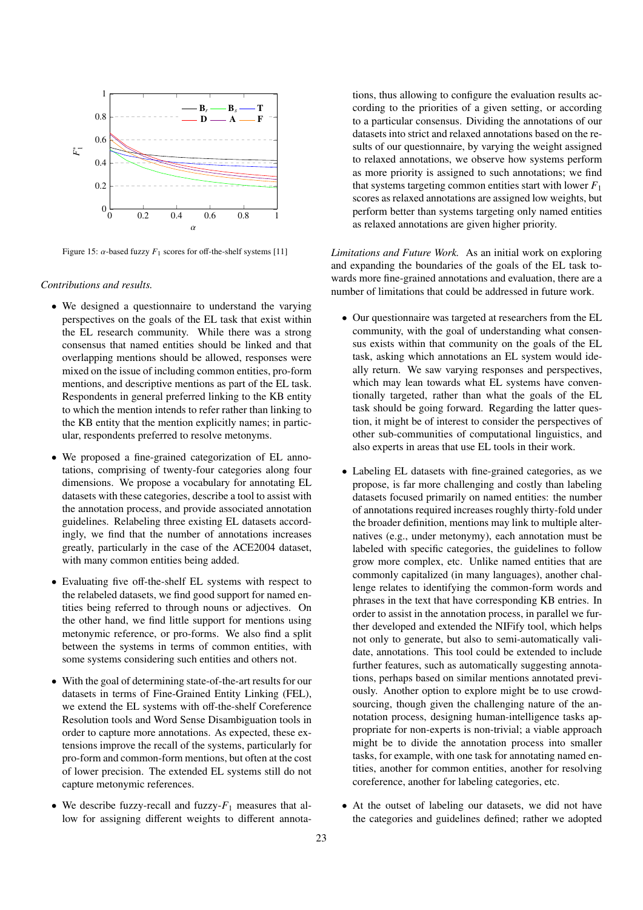

Figure 15:  $\alpha$ -based fuzzy  $F_1$  scores for off-the-shelf systems [11]

#### *Contributions and results.*

- We designed a questionnaire to understand the varying perspectives on the goals of the EL task that exist within the EL research community. While there was a strong consensus that named entities should be linked and that overlapping mentions should be allowed, responses were mixed on the issue of including common entities, pro-form mentions, and descriptive mentions as part of the EL task. Respondents in general preferred linking to the KB entity to which the mention intends to refer rather than linking to the KB entity that the mention explicitly names; in particular, respondents preferred to resolve metonyms.
- We proposed a fine-grained categorization of EL annotations, comprising of twenty-four categories along four dimensions. We propose a vocabulary for annotating EL datasets with these categories, describe a tool to assist with the annotation process, and provide associated annotation guidelines. Relabeling three existing EL datasets accordingly, we find that the number of annotations increases greatly, particularly in the case of the ACE2004 dataset, with many common entities being added.
- Evaluating five off-the-shelf EL systems with respect to the relabeled datasets, we find good support for named entities being referred to through nouns or adjectives. On the other hand, we find little support for mentions using metonymic reference, or pro-forms. We also find a split between the systems in terms of common entities, with some systems considering such entities and others not.
- With the goal of determining state-of-the-art results for our datasets in terms of Fine-Grained Entity Linking (FEL), we extend the EL systems with off-the-shelf Coreference Resolution tools and Word Sense Disambiguation tools in order to capture more annotations. As expected, these extensions improve the recall of the systems, particularly for pro-form and common-form mentions, but often at the cost of lower precision. The extended EL systems still do not capture metonymic references.
- We describe fuzzy-recall and fuzzy- $F_1$  measures that allow for assigning different weights to different annota-

tions, thus allowing to configure the evaluation results according to the priorities of a given setting, or according to a particular consensus. Dividing the annotations of our datasets into strict and relaxed annotations based on the results of our questionnaire, by varying the weight assigned to relaxed annotations, we observe how systems perform as more priority is assigned to such annotations; we find that systems targeting common entities start with lower  $F_1$ scores as relaxed annotations are assigned low weights, but perform better than systems targeting only named entities as relaxed annotations are given higher priority.

*Limitations and Future Work.* As an initial work on exploring and expanding the boundaries of the goals of the EL task towards more fine-grained annotations and evaluation, there are a number of limitations that could be addressed in future work.

- Our questionnaire was targeted at researchers from the EL community, with the goal of understanding what consensus exists within that community on the goals of the EL task, asking which annotations an EL system would ideally return. We saw varying responses and perspectives, which may lean towards what EL systems have conventionally targeted, rather than what the goals of the EL task should be going forward. Regarding the latter question, it might be of interest to consider the perspectives of other sub-communities of computational linguistics, and also experts in areas that use EL tools in their work.
- Labeling EL datasets with fine-grained categories, as we propose, is far more challenging and costly than labeling datasets focused primarily on named entities: the number of annotations required increases roughly thirty-fold under the broader definition, mentions may link to multiple alternatives (e.g., under metonymy), each annotation must be labeled with specific categories, the guidelines to follow grow more complex, etc. Unlike named entities that are commonly capitalized (in many languages), another challenge relates to identifying the common-form words and phrases in the text that have corresponding KB entries. In order to assist in the annotation process, in parallel we further developed and extended the NIFify tool, which helps not only to generate, but also to semi-automatically validate, annotations. This tool could be extended to include further features, such as automatically suggesting annotations, perhaps based on similar mentions annotated previously. Another option to explore might be to use crowdsourcing, though given the challenging nature of the annotation process, designing human-intelligence tasks appropriate for non-experts is non-trivial; a viable approach might be to divide the annotation process into smaller tasks, for example, with one task for annotating named entities, another for common entities, another for resolving coreference, another for labeling categories, etc.
- At the outset of labeling our datasets, we did not have the categories and guidelines defined; rather we adopted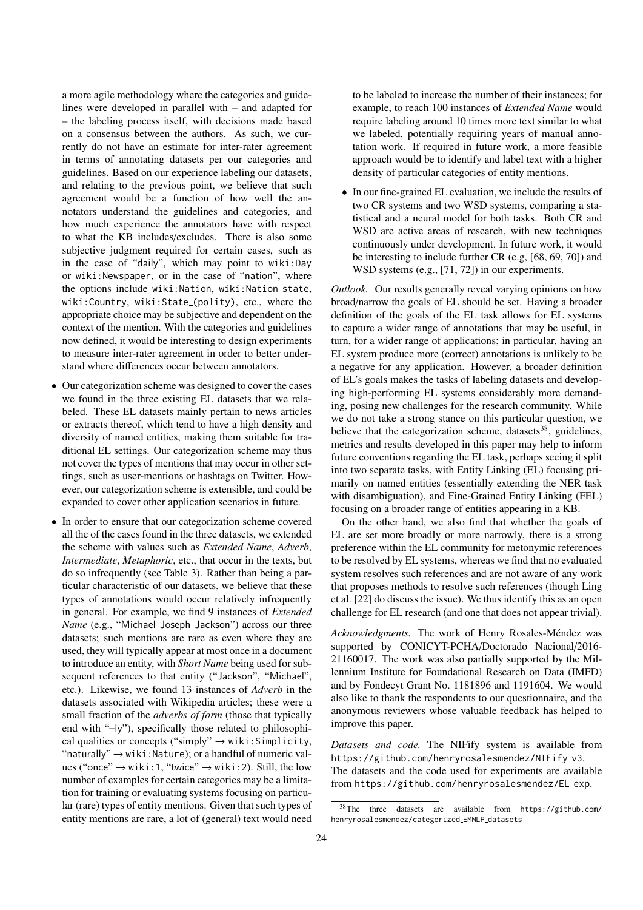a more agile methodology where the categories and guidelines were developed in parallel with – and adapted for – the labeling process itself, with decisions made based on a consensus between the authors. As such, we currently do not have an estimate for inter-rater agreement in terms of annotating datasets per our categories and guidelines. Based on our experience labeling our datasets, and relating to the previous point, we believe that such agreement would be a function of how well the annotators understand the guidelines and categories, and how much experience the annotators have with respect to what the KB includes/excludes. There is also some subjective judgment required for certain cases, such as in the case of "daily", which may point to wiki:Day or wiki:Newspaper, or in the case of "nation", where the options include wiki:Nation, wiki:Nation\_state, wiki:Country, wiki:State<sub>(polity)</sub>, etc., where the appropriate choice may be subjective and dependent on the context of the mention. With the categories and guidelines now defined, it would be interesting to design experiments to measure inter-rater agreement in order to better understand where differences occur between annotators.

- Our categorization scheme was designed to cover the cases we found in the three existing EL datasets that we relabeled. These EL datasets mainly pertain to news articles or extracts thereof, which tend to have a high density and diversity of named entities, making them suitable for traditional EL settings. Our categorization scheme may thus not cover the types of mentions that may occur in other settings, such as user-mentions or hashtags on Twitter. However, our categorization scheme is extensible, and could be expanded to cover other application scenarios in future.
- In order to ensure that our categorization scheme covered all the of the cases found in the three datasets, we extended the scheme with values such as *Extended Name*, *Adverb*, *Intermediate*, *Metaphoric*, etc., that occur in the texts, but do so infrequently (see Table 3). Rather than being a particular characteristic of our datasets, we believe that these types of annotations would occur relatively infrequently in general. For example, we find 9 instances of *Extended Name* (e.g., "Michael Joseph Jackson") across our three datasets; such mentions are rare as even where they are used, they will typically appear at most once in a document to introduce an entity, with *Short Name* being used for subsequent references to that entity ("Jackson", "Michael", etc.). Likewise, we found 13 instances of *Adverb* in the datasets associated with Wikipedia articles; these were a small fraction of the *adverbs of form* (those that typically end with "–ly"), specifically those related to philosophical qualities or concepts ("simply"  $\rightarrow$  wiki: Simplicity, "naturally"  $\rightarrow$  wiki:Nature); or a handful of numeric values ("once"  $\rightarrow$  wiki:1, "twice"  $\rightarrow$  wiki:2). Still, the low number of examples for certain categories may be a limitation for training or evaluating systems focusing on particular (rare) types of entity mentions. Given that such types of entity mentions are rare, a lot of (general) text would need

to be labeled to increase the number of their instances; for example, to reach 100 instances of *Extended Name* would require labeling around 10 times more text similar to what we labeled, potentially requiring years of manual annotation work. If required in future work, a more feasible approach would be to identify and label text with a higher density of particular categories of entity mentions.

• In our fine-grained EL evaluation, we include the results of two CR systems and two WSD systems, comparing a statistical and a neural model for both tasks. Both CR and WSD are active areas of research, with new techniques continuously under development. In future work, it would be interesting to include further CR (e.g, [68, 69, 70]) and WSD systems (e.g., [71, 72]) in our experiments.

*Outlook.* Our results generally reveal varying opinions on how broad/narrow the goals of EL should be set. Having a broader definition of the goals of the EL task allows for EL systems to capture a wider range of annotations that may be useful, in turn, for a wider range of applications; in particular, having an EL system produce more (correct) annotations is unlikely to be a negative for any application. However, a broader definition of EL's goals makes the tasks of labeling datasets and developing high-performing EL systems considerably more demanding, posing new challenges for the research community. While we do not take a strong stance on this particular question, we believe that the categorization scheme, datasets $38$ , guidelines, metrics and results developed in this paper may help to inform future conventions regarding the EL task, perhaps seeing it split into two separate tasks, with Entity Linking (EL) focusing primarily on named entities (essentially extending the NER task with disambiguation), and Fine-Grained Entity Linking (FEL) focusing on a broader range of entities appearing in a KB.

On the other hand, we also find that whether the goals of EL are set more broadly or more narrowly, there is a strong preference within the EL community for metonymic references to be resolved by EL systems, whereas we find that no evaluated system resolves such references and are not aware of any work that proposes methods to resolve such references (though Ling et al. [22] do discuss the issue). We thus identify this as an open challenge for EL research (and one that does not appear trivial).

Acknowledgments. The work of Henry Rosales-Méndez was supported by CONICYT-PCHA/Doctorado Nacional/2016-21160017. The work was also partially supported by the Millennium Institute for Foundational Research on Data (IMFD) and by Fondecyt Grant No. 1181896 and 1191604. We would also like to thank the respondents to our questionnaire, and the anonymous reviewers whose valuable feedback has helped to improve this paper.

*Datasets and code.* The NIFify system is available from https://github.com/henryrosalesmendez/NIFify\_v3. The datasets and the code used for experiments are available from https://github.com/henryrosalesmendez/EL exp.

<sup>38</sup>The three datasets are available from https://github.com/ henryrosalesmendez/categorized EMNLP datasets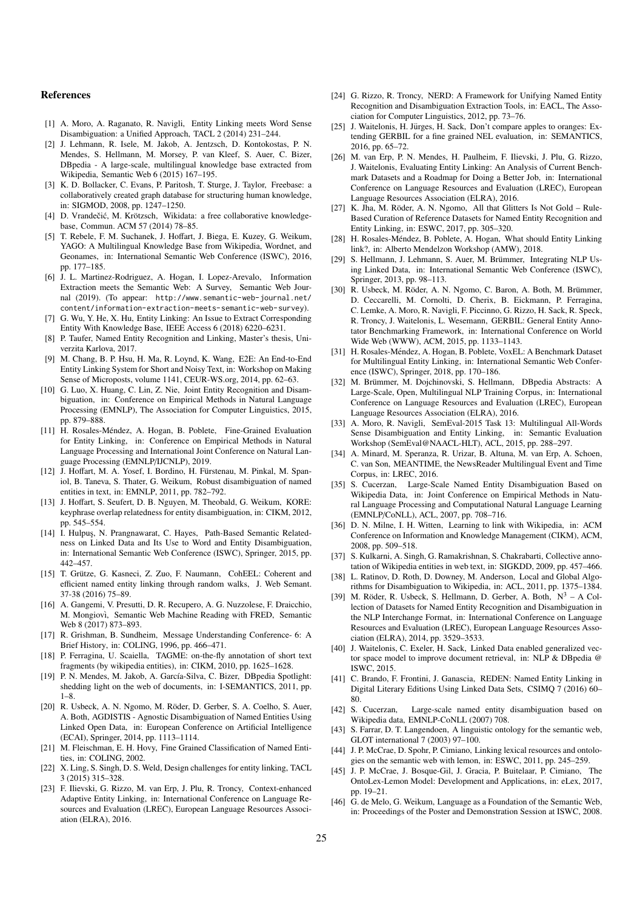#### References

- [1] A. Moro, A. Raganato, R. Navigli, Entity Linking meets Word Sense Disambiguation: a Unified Approach, TACL 2 (2014) 231–244.
- [2] J. Lehmann, R. Isele, M. Jakob, A. Jentzsch, D. Kontokostas, P. N. Mendes, S. Hellmann, M. Morsey, P. van Kleef, S. Auer, C. Bizer, DBpedia - A large-scale, multilingual knowledge base extracted from Wikipedia, Semantic Web 6 (2015) 167–195.
- [3] K. D. Bollacker, C. Evans, P. Paritosh, T. Sturge, J. Taylor, Freebase: a collaboratively created graph database for structuring human knowledge, in: SIGMOD, 2008, pp. 1247–1250.
- [4] D. Vrandečić, M. Krötzsch, Wikidata: a free collaborative knowledgebase, Commun. ACM 57 (2014) 78–85.
- [5] T. Rebele, F. M. Suchanek, J. Hoffart, J. Biega, E. Kuzey, G. Weikum, YAGO: A Multilingual Knowledge Base from Wikipedia, Wordnet, and Geonames, in: International Semantic Web Conference (ISWC), 2016, pp. 177–185.
- [6] J. L. Martinez-Rodriguez, A. Hogan, I. Lopez-Arevalo, Information Extraction meets the Semantic Web: A Survey, Semantic Web Journal (2019). (To appear: http://www.semantic-web-journal.net/ content/information-extraction-meets-semantic-web-survey).
- [7] G. Wu, Y. He, X. Hu, Entity Linking: An Issue to Extract Corresponding Entity With Knowledge Base, IEEE Access 6 (2018) 6220–6231.
- [8] P. Taufer, Named Entity Recognition and Linking, Master's thesis, Univerzita Karlova, 2017.
- [9] M. Chang, B. P. Hsu, H. Ma, R. Loynd, K. Wang, E2E: An End-to-End Entity Linking System for Short and Noisy Text, in: Workshop on Making Sense of Microposts, volume 1141, CEUR-WS.org, 2014, pp. 62–63.
- [10] G. Luo, X. Huang, C. Lin, Z. Nie, Joint Entity Recognition and Disambiguation, in: Conference on Empirical Methods in Natural Language Processing (EMNLP), The Association for Computer Linguistics, 2015, pp. 879–888.
- [11] H. Rosales-Méndez, A. Hogan, B. Poblete, Fine-Grained Evaluation for Entity Linking, in: Conference on Empirical Methods in Natural Language Processing and International Joint Conference on Natural Language Processing (EMNLP/IJCNLP), 2019.
- [12] J. Hoffart, M. A. Yosef, I. Bordino, H. Fürstenau, M. Pinkal, M. Spaniol, B. Taneva, S. Thater, G. Weikum, Robust disambiguation of named entities in text, in: EMNLP, 2011, pp. 782–792.
- [13] J. Hoffart, S. Seufert, D. B. Nguyen, M. Theobald, G. Weikum, KORE: keyphrase overlap relatedness for entity disambiguation, in: CIKM, 2012, pp. 545–554.
- [14] I. Hulpuş, N. Prangnawarat, C. Hayes, Path-Based Semantic Relatedness on Linked Data and Its Use to Word and Entity Disambiguation, in: International Semantic Web Conference (ISWC), Springer, 2015, pp. 442–457.
- [15] T. Grütze, G. Kasneci, Z. Zuo, F. Naumann, CohEEL: Coherent and efficient named entity linking through random walks, J. Web Semant. 37-38 (2016) 75–89.
- [16] A. Gangemi, V. Presutti, D. R. Recupero, A. G. Nuzzolese, F. Draicchio, M. Mongiovì, Semantic Web Machine Reading with FRED, Semantic Web 8 (2017) 873–893.
- [17] R. Grishman, B. Sundheim, Message Understanding Conference- 6: A Brief History, in: COLING, 1996, pp. 466–471.
- [18] P. Ferragina, U. Scaiella, TAGME: on-the-fly annotation of short text fragments (by wikipedia entities), in: CIKM, 2010, pp. 1625–1628.
- [19] P. N. Mendes, M. Jakob, A. García-Silva, C. Bizer, DBpedia Spotlight: shedding light on the web of documents, in: I-SEMANTICS, 2011, pp. 1–8.
- [20] R. Usbeck, A. N. Ngomo, M. Röder, D. Gerber, S. A. Coelho, S. Auer, A. Both, AGDISTIS - Agnostic Disambiguation of Named Entities Using Linked Open Data, in: European Conference on Artificial Intelligence (ECAI), Springer, 2014, pp. 1113–1114.
- [21] M. Fleischman, E. H. Hovy, Fine Grained Classification of Named Entities, in: COLING, 2002.
- [22] X. Ling, S. Singh, D. S. Weld, Design challenges for entity linking, TACL 3 (2015) 315–328.
- [23] F. Ilievski, G. Rizzo, M. van Erp, J. Plu, R. Troncy, Context-enhanced Adaptive Entity Linking, in: International Conference on Language Resources and Evaluation (LREC), European Language Resources Association (ELRA), 2016.
- [24] G. Rizzo, R. Troncy, NERD: A Framework for Unifying Named Entity Recognition and Disambiguation Extraction Tools, in: EACL, The Association for Computer Linguistics, 2012, pp. 73–76.
- [25] J. Waitelonis, H. Jürges, H. Sack, Don't compare apples to oranges: Extending GERBIL for a fine grained NEL evaluation, in: SEMANTICS, 2016, pp. 65–72.
- [26] M. van Erp, P. N. Mendes, H. Paulheim, F. Ilievski, J. Plu, G. Rizzo, J. Waitelonis, Evaluating Entity Linking: An Analysis of Current Benchmark Datasets and a Roadmap for Doing a Better Job, in: International Conference on Language Resources and Evaluation (LREC), European Language Resources Association (ELRA), 2016.
- [27] K. Jha, M. Röder, A. N. Ngomo, All that Glitters Is Not Gold Rule-Based Curation of Reference Datasets for Named Entity Recognition and Entity Linking, in: ESWC, 2017, pp. 305–320.
- [28] H. Rosales-Méndez, B. Poblete, A. Hogan, What should Entity Linking link?, in: Alberto Mendelzon Workshop (AMW), 2018.
- [29] S. Hellmann, J. Lehmann, S. Auer, M. Brümmer, Integrating NLP Using Linked Data, in: International Semantic Web Conference (ISWC), Springer, 2013, pp. 98–113.
- [30] R. Usbeck, M. Röder, A. N. Ngomo, C. Baron, A. Both, M. Brümmer, D. Ceccarelli, M. Cornolti, D. Cherix, B. Eickmann, P. Ferragina, C. Lemke, A. Moro, R. Navigli, F. Piccinno, G. Rizzo, H. Sack, R. Speck, R. Troncy, J. Waitelonis, L. Wesemann, GERBIL: General Entity Annotator Benchmarking Framework, in: International Conference on World Wide Web (WWW), ACM, 2015, pp. 1133–1143.
- [31] H. Rosales-Méndez, A. Hogan, B. Poblete, VoxEL: A Benchmark Dataset for Multilingual Entity Linking, in: International Semantic Web Conference (ISWC), Springer, 2018, pp. 170–186.
- [32] M. Brümmer, M. Dojchinovski, S. Hellmann, DBpedia Abstracts: A Large-Scale, Open, Multilingual NLP Training Corpus, in: International Conference on Language Resources and Evaluation (LREC), European Language Resources Association (ELRA), 2016.
- [33] A. Moro, R. Navigli, SemEval-2015 Task 13: Multilingual All-Words Sense Disambiguation and Entity Linking, in: Semantic Evaluation Workshop (SemEval@NAACL-HLT), ACL, 2015, pp. 288–297.
- [34] A. Minard, M. Speranza, R. Urizar, B. Altuna, M. van Erp, A. Schoen, C. van Son, MEANTIME, the NewsReader Multilingual Event and Time Corpus, in: LREC, 2016.
- [35] S. Cucerzan, Large-Scale Named Entity Disambiguation Based on Wikipedia Data, in: Joint Conference on Empirical Methods in Natural Language Processing and Computational Natural Language Learning (EMNLP/CoNLL), ACL, 2007, pp. 708–716.
- [36] D. N. Milne, I. H. Witten, Learning to link with Wikipedia, in: ACM Conference on Information and Knowledge Management (CIKM), ACM, 2008, pp. 509–518.
- [37] S. Kulkarni, A. Singh, G. Ramakrishnan, S. Chakrabarti, Collective annotation of Wikipedia entities in web text, in: SIGKDD, 2009, pp. 457–466.
- [38] L. Ratinov, D. Roth, D. Downey, M. Anderson, Local and Global Algorithms for Disambiguation to Wikipedia, in: ACL, 2011, pp. 1375–1384.
- [39] M. Röder, R. Usbeck, S. Hellmann, D. Gerber, A. Both,  $N^3 A$  Collection of Datasets for Named Entity Recognition and Disambiguation in the NLP Interchange Format, in: International Conference on Language Resources and Evaluation (LREC), European Language Resources Association (ELRA), 2014, pp. 3529–3533.
- [40] J. Waitelonis, C. Exeler, H. Sack, Linked Data enabled generalized vector space model to improve document retrieval, in: NLP & DBpedia @ ISWC, 2015.
- [41] C. Brando, F. Frontini, J. Ganascia, REDEN: Named Entity Linking in Digital Literary Editions Using Linked Data Sets, CSIMQ 7 (2016) 60– 80.
- [42] S. Cucerzan, Large-scale named entity disambiguation based on Wikipedia data, EMNLP-CoNLL (2007) 708.
- [43] S. Farrar, D. T. Langendoen, A linguistic ontology for the semantic web, GLOT international 7 (2003) 97–100.
- [44] J. P. McCrae, D. Spohr, P. Cimiano, Linking lexical resources and ontologies on the semantic web with lemon, in: ESWC, 2011, pp. 245–259.
- [45] J. P. McCrae, J. Bosque-Gil, J. Gracia, P. Buitelaar, P. Cimiano, The OntoLex-Lemon Model: Development and Applications, in: eLex, 2017, pp. 19–21.
- [46] G. de Melo, G. Weikum, Language as a Foundation of the Semantic Web. in: Proceedings of the Poster and Demonstration Session at ISWC, 2008.